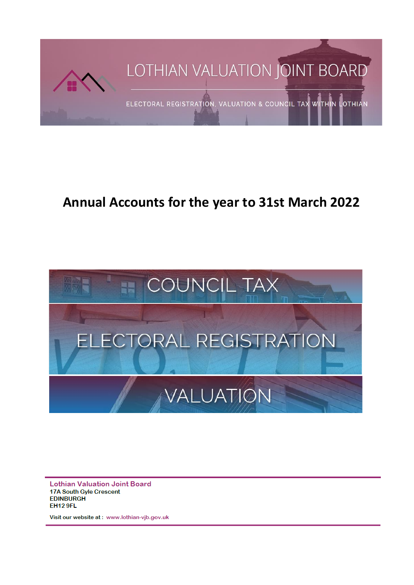

# **Annual Accounts for the year to 31st March 2022**



**Lothian Valuation Joint Board 17A South Gyle Crescent EDINBURGH EH12 9FL** 

Visit our website at: www.lothian-vjb.gov.uk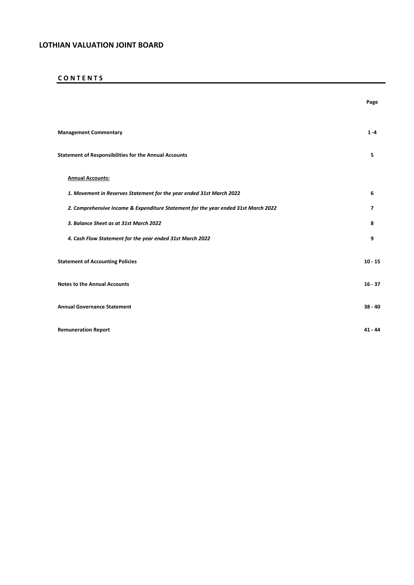## **C O N T E N T S**

|                                                                                    | Page      |
|------------------------------------------------------------------------------------|-----------|
| <b>Management Commentary</b>                                                       | $1 - 4$   |
| <b>Statement of Responsibilities for the Annual Accounts</b>                       | 5         |
| <b>Annual Accounts:</b>                                                            |           |
| 1. Movement in Reserves Statement for the year ended 31st March 2022               | 6         |
| 2. Comprehensive Income & Expenditure Statement for the year ended 31st March 2022 | 7         |
| 3. Balance Sheet as at 31st March 2022                                             | 8         |
| 4. Cash Flow Statement for the year ended 31st March 2022                          | 9         |
| <b>Statement of Accounting Policies</b>                                            | $10 - 15$ |
| <b>Notes to the Annual Accounts</b>                                                | $16 - 37$ |
| <b>Annual Governance Statement</b>                                                 | $38 - 40$ |
| <b>Remuneration Report</b>                                                         | $41 - 44$ |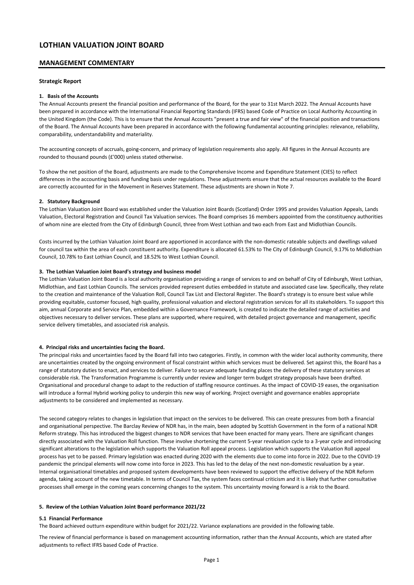### **MANAGEMENT COMMENTARY**

### **Strategic Report**

#### **1. Basis of the Accounts**

The Annual Accounts present the financial position and performance of the Board, for the year to 31st March 2022. The Annual Accounts have been prepared in accordance with the International Financial Reporting Standards (IFRS) based Code of Practice on Local Authority Accounting in the United Kingdom (the Code). This is to ensure that the Annual Accounts "present a true and fair view" of the financial position and transactions of the Board. The Annual Accounts have been prepared in accordance with the following fundamental accounting principles: relevance, reliability, comparability, understandability and materiality.

The accounting concepts of accruals, going-concern, and primacy of legislation requirements also apply. All figures in the Annual Accounts are rounded to thousand pounds (£'000) unless stated otherwise.

To show the net position of the Board, adjustments are made to the Comprehensive Income and Expenditure Statement (CIES) to reflect differences in the accounting basis and funding basis under regulations. These adjustments ensure that the actual resources available to the Board are correctly accounted for in the Movement in Reserves Statement. These adjustments are shown in Note 7.

#### **2. Statutory Background**

The Lothian Valuation Joint Board was established under the Valuation Joint Boards (Scotland) Order 1995 and provides Valuation Appeals, Lands Valuation, Electoral Registration and Council Tax Valuation services. The Board comprises 16 members appointed from the constituency authorities of whom nine are elected from the City of Edinburgh Council, three from West Lothian and two each from East and Midlothian Councils.

Costs incurred by the Lothian Valuation Joint Board are apportioned in accordance with the non-domestic rateable subjects and dwellings valued for council tax within the area of each constituent authority. Expenditure is allocated 61.53% to The City of Edinburgh Council, 9.17% to Midlothian Council, 10.78% to East Lothian Council, and 18.52% to West Lothian Council.

#### **3. The Lothian Valuation Joint Board's strategy and business model**

The Lothian Valuation Joint Board is a local authority organisation providing a range of services to and on behalf of City of Edinburgh, West Lothian, Midlothian, and East Lothian Councils. The services provided represent duties embedded in statute and associated case law. Specifically, they relate to the creation and maintenance of the Valuation Roll, Council Tax List and Electoral Register. The Board's strategy is to ensure best value while providing equitable, customer focused, high quality, professional valuation and electoral registration services for all its stakeholders. To support this aim, annual Corporate and Service Plan, embedded within a Governance Framework, is created to indicate the detailed range of activities and objectives necessary to deliver services. These plans are supported, where required, with detailed project governance and management, specific service delivery timetables, and associated risk analysis.

#### **4. Principal risks and uncertainties facing the Board.**

The principal risks and uncertainties faced by the Board fall into two categories. Firstly, in common with the wider local authority community, there are uncertainties created by the ongoing environment of fiscal constraint within which services must be delivered. Set against this, the Board has a range of statutory duties to enact, and services to deliver. Failure to secure adequate funding places the delivery of these statutory services at considerable risk. The Transformation Programme is currently under review and longer term budget strategy proposals have been drafted. Organisational and procedural change to adapt to the reduction of staffing resource continues. As the impact of COVID-19 eases, the organisation will introduce a formal Hybrid working policy to underpin this new way of working. Project oversight and governance enables appropriate adjustments to be considered and implemented as necessary.

The second category relates to changes in legislation that impact on the services to be delivered. This can create pressures from both a financial and organisational perspective. The Barclay Review of NDR has, in the main, been adopted by Scottish Government in the form of a national NDR Reform strategy. This has introduced the biggest changes to NDR services that have been enacted for many years. There are significant changes directly associated with the Valuation Roll function. These involve shortening the current 5-year revaluation cycle to a 3-year cycle and introducing significant alterations to the legislation which supports the Valuation Roll appeal process. Legislation which supports the Valuation Roll appeal process has yet to be passed. Primary legislation was enacted during 2020 with the elements due to come into force in 2022. Due to the COVID-19 pandemic the principal elements will now come into force in 2023. This has led to the delay of the next non-domestic revaluation by a year. Internal organisational timetables and proposed system developments have been reviewed to support the effective delivery of the NDR Reform agenda, taking account of the new timetable. In terms of Council Tax, the system faces continual criticism and it is likely that further consultative processes shall emerge in the coming years concerning changes to the system. This uncertainty moving forward is a risk to the Board.

#### **5. Review of the Lothian Valuation Joint Board performance 2021/22**

#### **5.1 Financial Performance**

The Board achieved outturn expenditure within budget for 2021/22. Variance explanations are provided in the following table.

The review of financial performance is based on management accounting information, rather than the Annual Accounts, which are stated after adjustments to reflect IFRS based Code of Practice.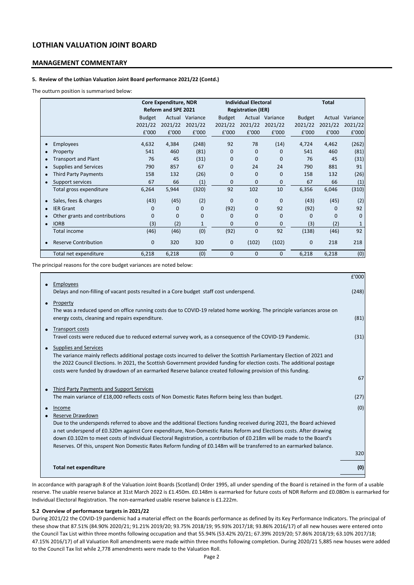### **MANAGEMENT COMMENTARY**

### **5. Review of the Lothian Valuation Joint Board performance 2021/22 (Contd.)**

The outturn position is summarised below:

|                                             | Core Expenditure, NDR |                            |                 | <b>Individual Electoral</b> |                           |                 | <b>Total</b>  |          |              |
|---------------------------------------------|-----------------------|----------------------------|-----------------|-----------------------------|---------------------------|-----------------|---------------|----------|--------------|
|                                             |                       | <b>Reform and SPE 2021</b> |                 |                             | <b>Registration (IER)</b> |                 |               |          |              |
|                                             | <b>Budget</b>         |                            | Actual Variance | <b>Budget</b>               |                           | Actual Variance | <b>Budget</b> | Actual   | Variance     |
|                                             | 2021/22               | 2021/22                    | 2021/22         | 2021/22                     | 2021/22                   | 2021/22         | 2021/22       | 2021/22  | 2021/22      |
|                                             | £'000                 | £'000                      | £'000           | £'000                       | £'000                     | £'000           | £'000         | £'000    | £'000        |
| <b>Employees</b><br>$\bullet$               | 4,632                 | 4,384                      | (248)           | 92                          | 78                        | (14)            | 4,724         | 4,462    | (262)        |
| Property<br>$\bullet$                       | 541                   | 460                        | (81)            | 0                           | $\mathbf{0}$              | $\Omega$        | 541           | 460      | (81)         |
| <b>Transport and Plant</b><br>$\bullet$     | 76                    | 45                         | (31)            | 0                           | $\Omega$                  | $\Omega$        | 76            | 45       | (31)         |
| Supplies and Services<br>$\bullet$          | 790                   | 857                        | 67              | 0                           | 24                        | 24              | 790           | 881      | 91           |
| Third Party Payments<br>$\bullet$           | 158                   | 132                        | (26)            | 0                           | $\mathbf{0}$              | $\Omega$        | 158           | 132      | (26)         |
| Support services                            | 67                    | 66                         | (1)             | 0                           | $\Omega$                  | $\Omega$        | 67            | 66       | (1)          |
| Total gross expenditure                     | 6,264                 | 5,944                      | (320)           | 92                          | 102                       | 10              | 6,356         | 6,046    | (310)        |
| Sales, fees & charges<br>C                  | (43)                  | (45)                       | (2)             | 0                           | $\mathbf{0}$              | $\mathbf{0}$    | (43)          | (45)     | (2)          |
| <b>IER Grant</b><br>$\bullet$               | 0                     | 0                          | 0               | (92)                        | 0                         | 92              | (92)          | 0        | 92           |
| Other grants and contributions<br>$\bullet$ | $\Omega$              | $\Omega$                   | $\Omega$        | 0                           | $\Omega$                  | $\Omega$        | $\Omega$      | $\Omega$ | $\Omega$     |
| <b>IORB</b><br>٠                            | (3)                   | (2)                        | $\mathbf{1}$    | $\Omega$                    | $\mathbf{0}$              | $\mathbf{0}$    | (3)           | (2)      | $\mathbf{1}$ |
| <b>Total income</b>                         | (46)                  | (46)                       | (0)             | (92)                        | $\Omega$                  | 92              | (138)         | (46)     | 92           |
| <b>Reserve Contribution</b><br>Ċ            | $\mathbf 0$           | 320                        | 320             | 0                           | (102)                     | (102)           | $\mathbf 0$   | 218      | 218          |
| Total net expenditure                       | 6,218                 | 6,218                      | (0)             | 0                           | 0                         | $\mathbf{0}$    | 6,218         | 6,218    | (0)          |

The principal reasons for the core budget variances are noted below:

|                                                                                                                                                                                                                                                                                                                                                                                                                                                                                                                    | £'000 |
|--------------------------------------------------------------------------------------------------------------------------------------------------------------------------------------------------------------------------------------------------------------------------------------------------------------------------------------------------------------------------------------------------------------------------------------------------------------------------------------------------------------------|-------|
| Employees<br>Delays and non-filling of vacant posts resulted in a Core budget staff cost underspend.                                                                                                                                                                                                                                                                                                                                                                                                               | (248) |
| Property<br>$\bullet$<br>The was a reduced spend on office running costs due to COVID-19 related home working. The principle variances arose on<br>energy costs, cleaning and repairs expenditure.                                                                                                                                                                                                                                                                                                                 | (81)  |
| <b>Transport costs</b><br>Travel costs were reduced due to reduced external survey work, as a consequence of the COVID-19 Pandemic.                                                                                                                                                                                                                                                                                                                                                                                | (31)  |
| Supplies and Services<br>The variance mainly reflects additional postage costs incurred to deliver the Scottish Parliamentary Election of 2021 and<br>the 2022 Council Elections. In 2021, the Scottish Government provided funding for election costs. The additional postage<br>costs were funded by drawdown of an earmarked Reserve balance created following provision of this funding.                                                                                                                       | 67    |
|                                                                                                                                                                                                                                                                                                                                                                                                                                                                                                                    |       |
| Third Party Payments and Support Services<br>The main variance of £18,000 reflects costs of Non Domestic Rates Reform being less than budget.                                                                                                                                                                                                                                                                                                                                                                      | (27)  |
| Income                                                                                                                                                                                                                                                                                                                                                                                                                                                                                                             | (0)   |
| Reserve Drawdown<br>Due to the underspends referred to above and the additional Elections funding received during 2021, the Board achieved<br>a net underspend of £0.320m against Core expenditure, Non-Domestic Rates Reform and Elections costs. After drawing<br>down £0.102m to meet costs of Individual Electoral Registration, a contribution of £0.218m will be made to the Board's<br>Reserves. Of this, unspent Non Domestic Rates Reform funding of £0.148m will be transferred to an earmarked balance. | 320   |
| <b>Total net expenditure</b>                                                                                                                                                                                                                                                                                                                                                                                                                                                                                       | (0)   |

In accordance with paragraph 8 of the Valuation Joint Boards (Scotland) Order 1995, all under spending of the Board is retained in the form of a usable reserve. The usable reserve balance at 31st March 2022 is £1.450m. £0.148m is earmarked for future costs of NDR Reform and £0.080m is earmarked for Individual Electoral Registration. The non-earmarked usable reserve balance is £1.222m.

### **5.2 Overview of performance targets in 2021/22**

During 2021/22 the COVID-19 pandemic had a material effect on the Boards performance as defined by its Key Performance Indicators. The principal of these show that 87.51% (84.90% 2020/21; 91.21% 2019/20; 93.75% 2018/19; 95.93% 2017/18; 93.86% 2016/17) of all new houses were entered onto the Council Tax List within three months following occupation and that 55.94% (53.42% 20/21; 67.39% 2019/20; 57.86% 2018/19; 63.10% 2017/18; 47.15% 2016/17) of all Valuation Roll amendments were made within three months following completion. During 2020/21 5,885 new houses were added to the Council Tax list while 2,778 amendments were made to the Valuation Roll.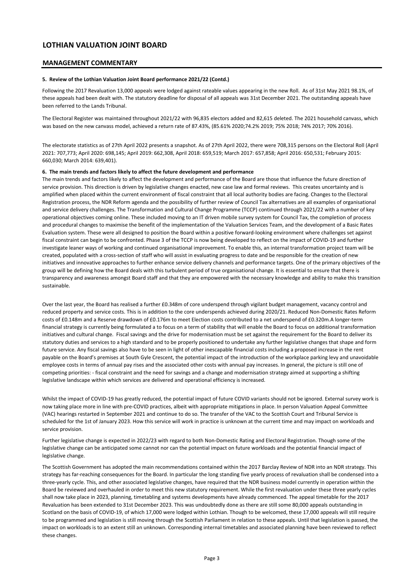### **MANAGEMENT COMMENTARY**

#### **5. Review of the Lothian Valuation Joint Board performance 2021/22 (Contd.)**

Following the 2017 Revaluation 13,000 appeals were lodged against rateable values appearing in the new Roll. As of 31st May 2021 98.1%, of these appeals had been dealt with. The statutory deadline for disposal of all appeals was 31st December 2021. The outstanding appeals have been referred to the Lands Tribunal.

The Electoral Register was maintained throughout 2021/22 with 96,835 electors added and 82,615 deleted. The 2021 household canvass, which was based on the new canvass model, achieved a return rate of 87.43%, (85.61% 2020;74.2% 2019; 75% 2018; 74% 2017; 70% 2016).

The electorate statistics as of 27th April 2022 presents a snapshot. As of 27th April 2022, there were 708,315 persons on the Electoral Roll (April 2021: 707,773; April 2020: 698,145; April 2019: 662,308, April 2018: 659,519; March 2017: 657,858; April 2016: 650,531; February 2015: 660,030; March 2014: 639,401).

#### **6. The main trends and factors likely to affect the future development and performance**

The main trends and factors likely to affect the development and performance of the Board are those that influence the future direction of service provision. This direction is driven by legislative changes enacted, new case law and formal reviews. This creates uncertainty and is amplified when placed within the current environment of fiscal constraint that all local authority bodies are facing. Changes to the Electoral Registration process, the NDR Reform agenda and the possibility of further review of Council Tax alternatives are all examples of organisational and service delivery challenges. The Transformation and Cultural Change Programme (TCCP) continued through 2021/22 with a number of key operational objectives coming online. These included moving to an IT driven mobile survey system for Council Tax, the completion of process and procedural changes to maximise the benefit of the implementation of the Valuation Services Team, and the development of a Basic Rates Evaluation system. These were all designed to position the Board within a positive forward-looking environment where challenges set against fiscal constraint can begin to be confronted. Phase 3 of the TCCP is now being developed to reflect on the impact of COVID-19 and further investigate leaner ways of working and continued organisational improvement. To enable this, an internal transformation project team will be created, populated with a cross-section of staff who will assist in evaluating progress to date and be responsible for the creation of new initiatives and innovative approaches to further enhance service delivery channels and performance targets. One of the primary objectives of the group will be defining how the Board deals with this turbulent period of true organisational change. It is essential to ensure that there is transparency and awareness amongst Board staff and that they are empowered with the necessary knowledge and ability to make this transition sustainable.

Over the last year, the Board has realised a further £0.348m of core underspend through vigilant budget management, vacancy control and reduced property and service costs. This is in addition to the core underspends achieved during 2020/21. Reduced Non-Domestic Rates Reform costs of £0.148m and a Reserve drawdown of £0.176m to meet Election costs contributed to a net underspend of £0.320m.A longer-term financial strategy is currently being formulated a to focus on a term of stability that will enable the Board to focus on additional transformation initiatives and cultural change. Fiscal savings and the drive for modernisation must be set against the requirement for the Board to deliver its statutory duties and services to a high standard and to be properly positioned to undertake any further legislative changes that shape and form future service. Any fiscal savings also have to be seen in light of other inescapable financial costs including a proposed increase in the rent payable on the Board's premises at South Gyle Crescent, the potential impact of the introduction of the workplace parking levy and unavoidable employee costs in terms of annual pay rises and the associated other costs with annual pay increases. In general, the picture is still one of competing priorities: - fiscal constraint and the need for savings and a change and modernisation strategy aimed at supporting a shifting legislative landscape within which services are delivered and operational efficiency is increased.

Whilst the impact of COVID-19 has greatly reduced, the potential impact of future COVID variants should not be ignored. External survey work is now taking place more in line with pre-COVID practices, albeit with appropriate mitigations in place. In person Valuation Appeal Committee (VAC) hearings restarted in September 2021 and continue to do so. The transfer of the VAC to the Scottish Court and Tribunal Service is scheduled for the 1st of January 2023. How this service will work in practice is unknown at the current time and may impact on workloads and service provision.

Further legislative change is expected in 2022/23 with regard to both Non-Domestic Rating and Electoral Registration. Though some of the legislative change can be anticipated some cannot nor can the potential impact on future workloads and the potential financial impact of legislative change.

The Scottish Government has adopted the main recommendations contained within the 2017 Barclay Review of NDR into an NDR strategy. This strategy has far-reaching consequences for the Board. In particular the long standing five yearly process of revaluation shall be condensed into a three-yearly cycle. This, and other associated legislative changes, have required that the NDR business model currently in operation within the Board be reviewed and overhauled in order to meet this new statutory requirement. While the first revaluation under these three yearly cycles shall now take place in 2023, planning, timetabling and systems developments have already commenced. The appeal timetable for the 2017 Revaluation has been extended to 31st December 2023. This was undoubtedly done as there are still some 80,000 appeals outstanding in Scotland on the basis of COVID-19, of which 17,000 were lodged within Lothian. Though to be welcomed, these 17,000 appeals will still require to be programmed and legislation is still moving through the Scottish Parliament in relation to these appeals. Until that legislation is passed, the impact on workloads is to an extent still an unknown. Corresponding internal timetables and associated planning have been reviewed to reflect these changes.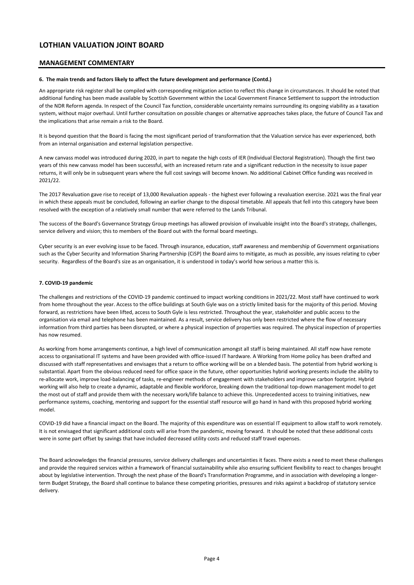### **MANAGEMENT COMMENTARY**

### **6. The main trends and factors likely to affect the future development and performance (Contd.)**

An appropriate risk register shall be compiled with corresponding mitigation action to reflect this change in circumstances. It should be noted that additional funding has been made available by Scottish Government within the Local Government Finance Settlement to support the introduction of the NDR Reform agenda. In respect of the Council Tax function, considerable uncertainty remains surrounding its ongoing viability as a taxation system, without major overhaul. Until further consultation on possible changes or alternative approaches takes place, the future of Council Tax and the implications that arise remain a risk to the Board.

It is beyond question that the Board is facing the most significant period of transformation that the Valuation service has ever experienced, both from an internal organisation and external legislation perspective.

A new canvass model was introduced during 2020, in part to negate the high costs of IER (Individual Electoral Registration). Though the first two years of this new canvass model has been successful, with an increased return rate and a significant reduction in the necessity to issue paper returns, it will only be in subsequent years where the full cost savings will become known. No additional Cabinet Office funding was received in 2021/22.

The 2017 Revaluation gave rise to receipt of 13,000 Revaluation appeals - the highest ever following a revaluation exercise. 2021 was the final year in which these appeals must be concluded, following an earlier change to the disposal timetable. All appeals that fell into this category have been resolved with the exception of a relatively small number that were referred to the Lands Tribunal.

The success of the Board's Governance Strategy Group meetings has allowed provision of invaluable insight into the Board's strategy, challenges, service delivery and vision; this to members of the Board out with the formal board meetings.

Cyber security is an ever evolving issue to be faced. Through insurance, education, staff awareness and membership of Government organisations such as the Cyber Security and Information Sharing Partnership (CiSP) the Board aims to mitigate, as much as possible, any issues relating to cyber security. Regardless of the Board's size as an organisation, it is understood in today's world how serious a matter this is.

### **7. COVID-19 pandemic**

The challenges and restrictions of the COVID-19 pandemic continued to impact working conditions in 2021/22. Most staff have continued to work from home throughout the year. Access to the office buildings at South Gyle was on a strictly limited basis for the majority of this period. Moving forward, as restrictions have been lifted, access to South Gyle is less restricted. Throughout the year, stakeholder and public access to the organisation via email and telephone has been maintained. As a result, service delivery has only been restricted where the flow of necessary information from third parties has been disrupted, or where a physical inspection of properties was required. The physical inspection of properties has now resumed.

As working from home arrangements continue, a high level of communication amongst all staff is being maintained. All staff now have remote access to organisational IT systems and have been provided with office-issued IT hardware. A Working from Home policy has been drafted and discussed with staff representatives and envisages that a return to office working will be on a blended basis. The potential from hybrid working is substantial. Apart from the obvious reduced need for office space in the future, other opportunities hybrid working presents include the ability to re-allocate work, improve load-balancing of tasks, re-engineer methods of engagement with stakeholders and improve carbon footprint. Hybrid working will also help to create a dynamic, adaptable and flexible workforce, breaking down the traditional top-down management model to get the most out of staff and provide them with the necessary work/life balance to achieve this. Unprecedented access to training initiatives, new performance systems, coaching, mentoring and support for the essential staff resource will go hand in hand with this proposed hybrid working model.

COVID-19 did have a financial impact on the Board. The majority of this expenditure was on essential IT equipment to allow staff to work remotely. It is not envisaged that significant additional costs will arise from the pandemic, moving forward. It should be noted that these additional costs were in some part offset by savings that have included decreased utility costs and reduced staff travel expenses.

The Board acknowledges the financial pressures, service delivery challenges and uncertainties it faces. There exists a need to meet these challenges and provide the required services within a framework of financial sustainability while also ensuring sufficient flexibility to react to changes brought about by legislative intervention. Through the next phase of the Board's Transformation Programme, and in association with developing a longerterm Budget Strategy, the Board shall continue to balance these competing priorities, pressures and risks against a backdrop of statutory service delivery.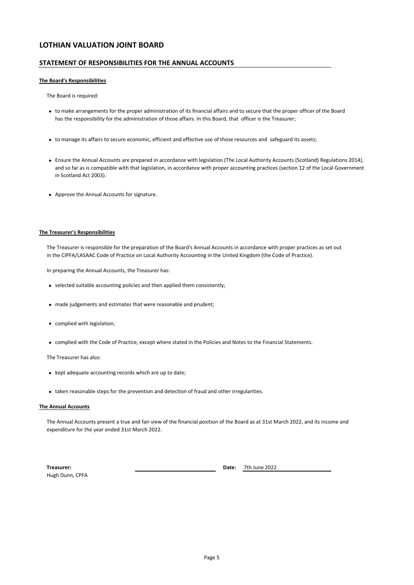### **STATEMENT OF RESPONSIBILITIES FOR THE ANNUAL ACCOUNTS**

#### **The Board's Responsibilities**

The Board is required:

- to make arrangements for the proper administration of its financial affairs and to secure that the proper officer of the Board has the responsibility for the administration of those affairs. In this Board, that officer is the Treasurer;
- to manage its affairs to secure economic, efficient and effective use of those resources and safeguard its assets;
- Ensure the Annual Accounts are prepared in accordance with legislation (The Local Authority Accounts (Scotland) Regulations 2014), and so far as is compatible with that legislation, in accordance with proper accounting practices (section 12 of the Local Government in Scotland Act 2003).
- Approve the Annual Accounts for signature.

### **The Treasurer's Responsibilities**

The Treasurer is responsible for the preparation of the Board's Annual Accounts in accordance with proper practices as set out in the CIPFA/LASAAC Code of Practice on Local Authority Accounting in the United Kingdom (the Code of Practice).

In preparing the Annual Accounts, the Treasurer has:

- selected suitable accounting policies and then applied them consistently;
- made judgements and estimates that were reasonable and prudent;
- complied with legislation;
- complied with the Code of Practice, except where stated in the Policies and Notes to the Financial Statements.

The Treasurer has also:

- kept adequate accounting records which are up to date;
- taken reasonable steps for the prevention and detection of fraud and other irregularities.

#### **The Annual Accounts**

The Annual Accounts present a true and fair view of the financial position of the Board as at 31st March 2022, and its income and expenditure for the year ended 31st March 2022.

**Treasurer: Date:** Hugh Dunn, CPFA

7th June 2022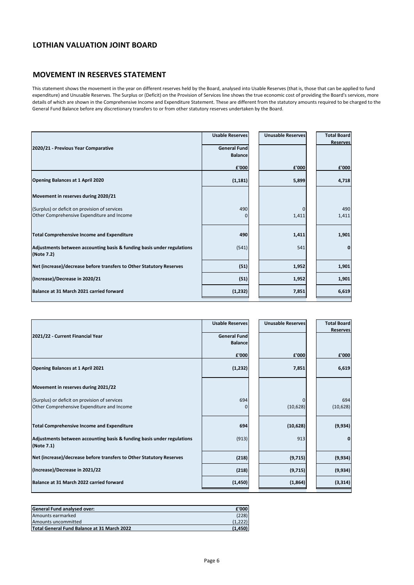## **MOVEMENT IN RESERVES STATEMENT**

This statement shows the movement in the year on different reserves held by the Board, analysed into Usable Reserves (that is, those that can be applied to fund expenditure) and Unusable Reserves. The Surplus or (Deficit) on the Provision of Services line shows the true economic cost of providing the Board's services, more details of which are shown in the Comprehensive Income and Expenditure Statement. These are different from the statutory amounts required to be charged to the General Fund Balance before any discretionary transfers to or from other statutory reserves undertaken by the Board.

|                                                                                      | <b>Usable Reserves</b> | <b>Unusable Reserves</b> | <b>Total Board</b> |
|--------------------------------------------------------------------------------------|------------------------|--------------------------|--------------------|
| 2020/21 - Previous Year Comparative                                                  | <b>General Fund</b>    |                          | <b>Reserves</b>    |
|                                                                                      |                        |                          |                    |
|                                                                                      | <b>Balance</b>         |                          |                    |
|                                                                                      | £'000                  | £'000                    | £'000              |
| Opening Balances at 1 April 2020                                                     | (1, 181)               | 5,899                    | 4,718              |
| Movement in reserves during 2020/21                                                  |                        |                          |                    |
| (Surplus) or deficit on provision of services                                        | 490                    | $\Omega$                 | 490                |
| Other Comprehensive Expenditure and Income                                           | 0                      | 1,411                    | 1,411              |
| <b>Total Comprehensive Income and Expenditure</b>                                    | 490                    | 1,411                    | 1,901              |
|                                                                                      |                        |                          |                    |
| Adjustments between accounting basis & funding basis under regulations<br>(Note 7.2) | (541)                  | 541                      | 0                  |
| Net (increase)/decrease before transfers to Other Statutory Reserves                 | (51)                   | 1,952                    | 1,901              |
| (Increase)/Decrease in 2020/21                                                       | (51)                   | 1,952                    | 1,901              |
| Balance at 31 March 2021 carried forward                                             | (1, 232)               | 7,851                    | 6,619              |
|                                                                                      |                        |                          |                    |

|                                                                                      | <b>Usable Reserves</b> | <b>Unusable Reserves</b> | <b>Total Board</b> |
|--------------------------------------------------------------------------------------|------------------------|--------------------------|--------------------|
| 2021/22 - Current Financial Year                                                     | <b>General Fund</b>    |                          | <b>Reserves</b>    |
|                                                                                      | <b>Balance</b>         |                          |                    |
|                                                                                      |                        |                          |                    |
|                                                                                      | £'000                  | £'000                    | £'000              |
| Opening Balances at 1 April 2021                                                     | (1, 232)               | 7,851                    | 6,619              |
| Movement in reserves during 2021/22                                                  |                        |                          |                    |
| (Surplus) or deficit on provision of services                                        | 694                    | <sup>0</sup>             | 694                |
| Other Comprehensive Expenditure and Income                                           | 0                      | (10,628)                 | (10, 628)          |
|                                                                                      |                        |                          |                    |
| <b>Total Comprehensive Income and Expenditure</b>                                    | 694                    | (10, 628)                | (9,934)            |
| Adjustments between accounting basis & funding basis under regulations<br>(Note 7.1) | (913)                  | 913                      | 0                  |
| Net (increase)/decrease before transfers to Other Statutory Reserves                 | (218)                  | (9,715)                  | (9,934)            |
| (Increase)/Decrease in 2021/22                                                       | (218)                  | (9,715)                  | (9,934)            |
| Balance at 31 March 2022 carried forward                                             | (1,450)                | (1,864)                  | (3, 314)           |

| <b>General Fund analysed over:</b>          | £'000   |
|---------------------------------------------|---------|
| Amounts earmarked                           | (228)   |
| Amounts uncommitted                         |         |
| Total General Fund Balance at 31 March 2022 | (1.450) |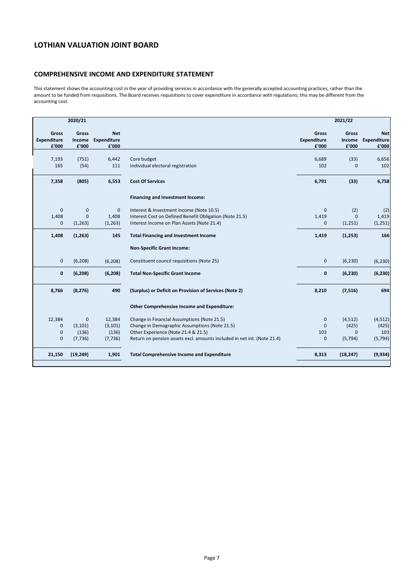### **COMPREHENSIVE INCOME AND EXPENDITURE STATEMENT**

This statement shows the accounting cost in the year of providing services in accordance with the generally accepted accounting practices, rather than the amount to be funded from requisitions. The Board receives requisitions to cover expenditure in accordance with regulations; this may be different from the accounting cost.

|                                             | 2020/21                         |                                    |                                                                         |                                      | 2021/22                  |                                           |
|---------------------------------------------|---------------------------------|------------------------------------|-------------------------------------------------------------------------|--------------------------------------|--------------------------|-------------------------------------------|
| <b>Gross</b><br><b>Expenditure</b><br>£'000 | <b>Gross</b><br>Income<br>£'000 | <b>Net</b><br>Expenditure<br>£'000 |                                                                         | <b>Gross</b><br>Expenditure<br>£'000 | Gross<br>Income<br>£'000 | <b>Net</b><br><b>Expenditure</b><br>£'000 |
| 7,193<br>165                                | (751)<br>(54)                   | 6,442<br>111                       | Core budget<br>Individual electoral registration                        | 6,689<br>102                         | (33)<br>$\Omega$         | 6,656<br>102                              |
| 7,358                                       | (805)                           | 6,553                              | <b>Cost Of Services</b>                                                 | 6,791                                | (33)                     | 6,758                                     |
|                                             |                                 |                                    | <b>Financing and Investment Income:</b>                                 |                                      |                          |                                           |
| $\mathbf 0$                                 | $\mathbf{0}$                    | $\mathbf{0}$                       | Interest & Investment income (Note 10.5)                                | $\mathbf 0$                          | (2)                      | (2)                                       |
| 1,408                                       | $\mathbf 0$                     | 1,408                              | Interest Cost on Defined Benefit Obligation (Note 21.5)                 | 1,419                                | $\Omega$                 | 1,419                                     |
| $\mathbf 0$                                 | (1, 263)                        | (1, 263)                           | Interest Income on Plan Assets (Note 21.4)                              | $\mathbf{0}$                         | (1,251)                  | (1, 251)                                  |
| 1,408                                       | (1, 263)                        | 145                                | <b>Total Financing and Investment Income</b>                            | 1,419                                | (1, 253)                 | 166                                       |
|                                             |                                 |                                    | <b>Non-Specific Grant Income:</b>                                       |                                      |                          |                                           |
| $\mathbf 0$                                 | (6, 208)                        | (6, 208)                           | Constituent council requisitions (Note 25)                              | $\mathbf 0$                          | (6, 230)                 | (6, 230)                                  |
| 0                                           | (6, 208)                        | (6, 208)                           | <b>Total Non-Specific Grant Income</b>                                  | $\pmb{0}$                            | (6, 230)                 | (6, 230)                                  |
| 8,766                                       | (8, 276)                        | 490                                | (Surplus) or Deficit on Provision of Services (Note 2)                  | 8,210                                | (7, 516)                 | 694                                       |
|                                             |                                 |                                    | <b>Other Comprehensive Income and Expenditure:</b>                      |                                      |                          |                                           |
| 12,384                                      | $\mathbf 0$                     | 12,384                             | Change in Financial Assumptions (Note 21.5)                             | $\mathbf 0$                          | (4,512)                  | (4, 512)                                  |
| 0                                           | (3, 101)                        | (3, 101)                           | Change in Demographic Assumptions (Note 21.5)                           | $\mathbf{0}$                         | (425)                    | (425)                                     |
| $\mathbf 0$                                 | (136)                           | (136)                              | Other Experience (Note 21.4 & 21.5)                                     | 103                                  | $\mathbf{0}$             | 103                                       |
| 0                                           | (7, 736)                        | (7, 736)                           | Return on pension assets excl. amounts included in net int. (Note 21.4) | 0                                    | (5, 794)                 | (5, 794)                                  |
| 21,150                                      | (19, 249)                       | 1,901                              | <b>Total Comprehensive Income and Expenditure</b>                       | 8,313                                | (18, 247)                | (9,934)                                   |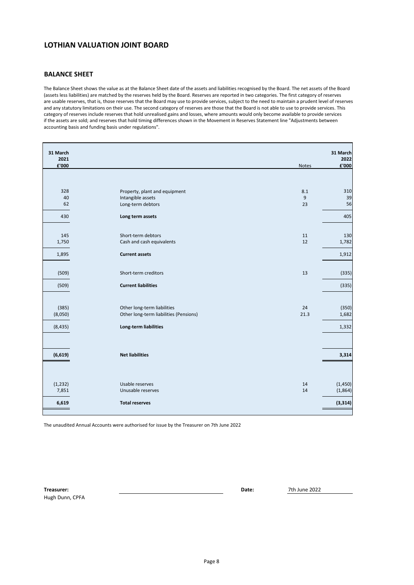### **BALANCE SHEET**

The Balance Sheet shows the value as at the Balance Sheet date of the assets and liabilities recognised by the Board. The net assets of the Board (assets less liabilities) are matched by the reserves held by the Board. Reserves are reported in two categories. The first category of reserves are usable reserves, that is, those reserves that the Board may use to provide services, subject to the need to maintain a prudent level of reserves and any statutory limitations on their use. The second category of reserves are those that the Board is not able to use to provide services. This category of reserves include reserves that hold unrealised gains and losses, where amounts would only become available to provide services if the assets are sold; and reserves that hold timing differences shown in the Movement in Reserves Statement line "Adjustments between accounting basis and funding basis under regulations".

| 31 March      |                                        |       | 31 March                  |
|---------------|----------------------------------------|-------|---------------------------|
| 2021<br>£'000 |                                        | Notes | 2022<br>$\textbf{f}'$ 000 |
|               |                                        |       |                           |
|               |                                        |       |                           |
| 328           | Property, plant and equipment          | 8.1   | 310                       |
| 40            | Intangible assets                      | 9     | 39                        |
| 62            | Long-term debtors                      | 23    | 56                        |
| 430           | Long term assets                       |       | 405                       |
|               |                                        |       |                           |
| 145           | Short-term debtors                     | 11    | 130                       |
| 1,750         | Cash and cash equivalents              | 12    | 1,782                     |
| 1,895         | <b>Current assets</b>                  |       | 1,912                     |
|               |                                        |       |                           |
| (509)         | Short-term creditors                   | 13    | (335)                     |
| (509)         | <b>Current liabilities</b>             |       | (335)                     |
|               |                                        |       |                           |
| (385)         | Other long-term liabilities            | 24    | (350)                     |
| (8,050)       | Other long-term liabilities (Pensions) | 21.3  | 1,682                     |
|               |                                        |       |                           |
| (8, 435)      | Long-term liabilities                  |       | 1,332                     |
|               |                                        |       |                           |
| (6,619)       | <b>Net liabilities</b>                 |       | 3,314                     |
|               |                                        |       |                           |
|               |                                        |       |                           |
| (1, 232)      | Usable reserves                        | 14    | (1,450)                   |
| 7,851         | Unusable reserves                      | 14    | (1,864)                   |
| 6,619         | <b>Total reserves</b>                  |       | (3, 314)                  |
|               |                                        |       |                           |

The unaudited Annual Accounts were authorised for issue by the Treasurer on 7th June 2022

**Treasurer: Date:** Hugh Dunn, CPFA

7th June 2022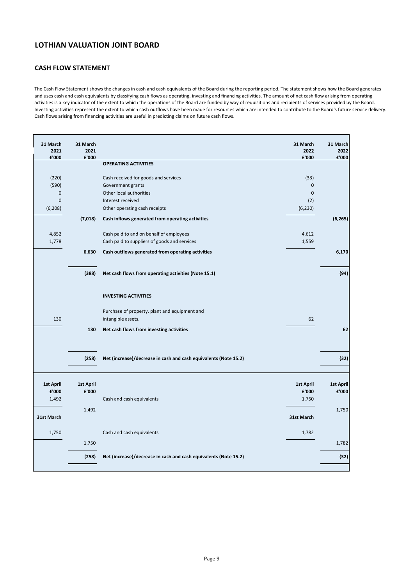## **CASH FLOW STATEMENT**

The Cash Flow Statement shows the changes in cash and cash equivalents of the Board during the reporting period. The statement shows how the Board generates and uses cash and cash equivalents by classifying cash flows as operating, investing and financing activities. The amount of net cash flow arising from operating activities is a key indicator of the extent to which the operations of the Board are funded by way of requisitions and recipients of services provided by the Board. Investing activities represent the extent to which cash outflows have been made for resources which are intended to contribute to the Board's future service delivery. Cash flows arising from financing activities are useful in predicting claims on future cash flows.

| 31 March<br>2021 | 31 March<br>2021 |                                                                     | 31 March<br>2022 | 31 March<br>2022 |
|------------------|------------------|---------------------------------------------------------------------|------------------|------------------|
| £'000            | £'000            | <b>OPERATING ACTIVITIES</b>                                         | £'000            | £'000            |
|                  |                  |                                                                     |                  |                  |
| (220)            |                  | Cash received for goods and services                                | (33)             |                  |
| (590)            |                  | Government grants                                                   | $\pmb{0}$        |                  |
| $\mathbf 0$<br>0 |                  | Other local authorities                                             | $\mathbf 0$      |                  |
| (6, 208)         |                  | Interest received<br>Other operating cash receipts                  | (2)<br>(6, 230)  |                  |
|                  |                  |                                                                     |                  |                  |
|                  | (7,018)          | Cash inflows generated from operating activities                    |                  | (6, 265)         |
| 4,852            |                  | Cash paid to and on behalf of employees                             | 4,612            |                  |
| 1,778            |                  | Cash paid to suppliers of goods and services                        | 1,559            |                  |
|                  | 6,630            | Cash outflows generated from operating activities                   |                  | 6,170            |
|                  | (388)            | Net cash flows from operating activities (Note 15.1)                |                  | (94)             |
|                  |                  | <b>INVESTING ACTIVITIES</b>                                         |                  |                  |
| 130              |                  | Purchase of property, plant and equipment and<br>intangible assets. | 62               |                  |
|                  |                  |                                                                     |                  |                  |
|                  | 130              | Net cash flows from investing activities                            |                  | 62               |
|                  | (258)            | Net (increase)/decrease in cash and cash equivalents (Note 15.2)    |                  | (32)             |
| 1st April        | <b>1st April</b> |                                                                     | <b>1st April</b> | <b>1st April</b> |
| £'000            | £'000            |                                                                     | £'000            | £'000            |
| 1,492            |                  | Cash and cash equivalents                                           | 1,750            |                  |
|                  | 1,492            |                                                                     |                  | 1,750            |
| 31st March       |                  |                                                                     | 31st March       |                  |
| 1,750            |                  | Cash and cash equivalents                                           | 1,782            |                  |
|                  | 1,750            |                                                                     |                  | 1,782            |
|                  | (258)            | Net (increase)/decrease in cash and cash equivalents (Note 15.2)    |                  | (32)             |
|                  |                  |                                                                     |                  |                  |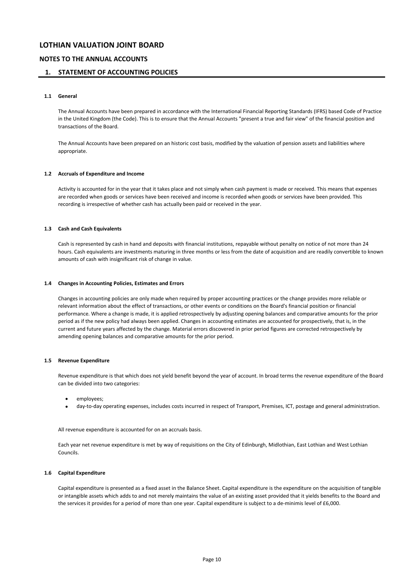### **NOTES TO THE ANNUAL ACCOUNTS**

### **1. STATEMENT OF ACCOUNTING POLICIES**

### **1.1 General**

The Annual Accounts have been prepared in accordance with the International Financial Reporting Standards (IFRS) based Code of Practice in the United Kingdom (the Code). This is to ensure that the Annual Accounts "present a true and fair view" of the financial position and transactions of the Board.

The Annual Accounts have been prepared on an historic cost basis, modified by the valuation of pension assets and liabilities where appropriate.

#### **1.2 Accruals of Expenditure and Income**

Activity is accounted for in the year that it takes place and not simply when cash payment is made or received. This means that expenses are recorded when goods or services have been received and income is recorded when goods or services have been provided. This recording is irrespective of whether cash has actually been paid or received in the year.

#### **1.3 Cash and Cash Equivalents**

Cash is represented by cash in hand and deposits with financial institutions, repayable without penalty on notice of not more than 24 hours. Cash equivalents are investments maturing in three months or less from the date of acquisition and are readily convertible to known amounts of cash with insignificant risk of change in value.

#### **1.4 Changes in Accounting Policies, Estimates and Errors**

Changes in accounting policies are only made when required by proper accounting practices or the change provides more reliable or relevant information about the effect of transactions, or other events or conditions on the Board's financial position or financial performance. Where a change is made, it is applied retrospectively by adjusting opening balances and comparative amounts for the prior period as if the new policy had always been applied. Changes in accounting estimates are accounted for prospectively, that is, in the current and future years affected by the change. Material errors discovered in prior period figures are corrected retrospectively by amending opening balances and comparative amounts for the prior period.

#### **1.5 Revenue Expenditure**

Revenue expenditure is that which does not yield benefit beyond the year of account. In broad terms the revenue expenditure of the Board can be divided into two categories:

- employees;
- day-to-day operating expenses, includes costs incurred in respect of Transport, Premises, ICT, postage and general administration.

All revenue expenditure is accounted for on an accruals basis.

Each year net revenue expenditure is met by way of requisitions on the City of Edinburgh, Midlothian, East Lothian and West Lothian Councils.

#### **1.6 Capital Expenditure**

Capital expenditure is presented as a fixed asset in the Balance Sheet. Capital expenditure is the expenditure on the acquisition of tangible or intangible assets which adds to and not merely maintains the value of an existing asset provided that it yields benefits to the Board and the services it provides for a period of more than one year. Capital expenditure is subject to a de-minimis level of £6,000.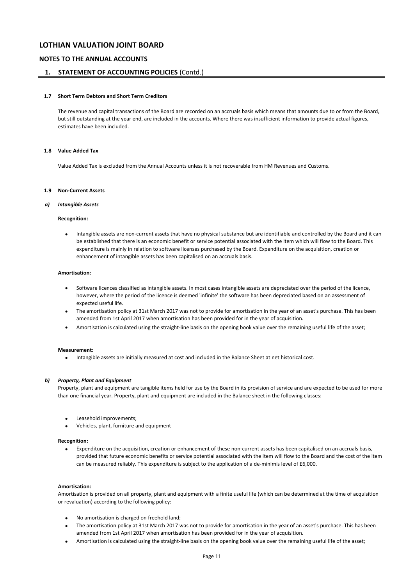### **NOTES TO THE ANNUAL ACCOUNTS**

### **1. STATEMENT OF ACCOUNTING POLICIES** (Contd.)

### **1.7 Short Term Debtors and Short Term Creditors**

The revenue and capital transactions of the Board are recorded on an accruals basis which means that amounts due to or from the Board, but still outstanding at the year end, are included in the accounts. Where there was insufficient information to provide actual figures, estimates have been included.

### **1.8 Value Added Tax**

Value Added Tax is excluded from the Annual Accounts unless it is not recoverable from HM Revenues and Customs.

#### **1.9 Non-Current Assets**

#### *a) Intangible Assets*

#### **Recognition:**

• Intangible assets are non-current assets that have no physical substance but are identifiable and controlled by the Board and it can be established that there is an economic benefit or service potential associated with the item which will flow to the Board. This expenditure is mainly in relation to software licenses purchased by the Board. Expenditure on the acquisition, creation or enhancement of intangible assets has been capitalised on an accruals basis.

#### **Amortisation:**

- Software licences classified as intangible assets. In most cases intangible assets are depreciated over the period of the licence, however, where the period of the licence is deemed 'infinite' the software has been depreciated based on an assessment of expected useful life.
- The amortisation policy at 31st March 2017 was not to provide for amortisation in the year of an asset's purchase. This has been amended from 1st April 2017 when amortisation has been provided for in the year of acquisition.
- Amortisation is calculated using the straight-line basis on the opening book value over the remaining useful life of the asset;

#### **Measurement:**

• Intangible assets are initially measured at cost and included in the Balance Sheet at net historical cost.

#### *b) Property, Plant and Equipment*

Property, plant and equipment are tangible items held for use by the Board in its provision of service and are expected to be used for more than one financial year. Property, plant and equipment are included in the Balance sheet in the following classes:

- Leasehold improvements;
- Vehicles, plant, furniture and equipment

#### **Recognition:**

• Expenditure on the acquisition, creation or enhancement of these non-current assets has been capitalised on an accruals basis, provided that future economic benefits or service potential associated with the item will flow to the Board and the cost of the item can be measured reliably. This expenditure is subject to the application of a de-minimis level of £6,000.

#### **Amortisation:**

Amortisation is provided on all property, plant and equipment with a finite useful life (which can be determined at the time of acquisition or revaluation) according to the following policy:

- No amortisation is charged on freehold land;
- The amortisation policy at 31st March 2017 was not to provide for amortisation in the year of an asset's purchase. This has been amended from 1st April 2017 when amortisation has been provided for in the year of acquisition.
- Amortisation is calculated using the straight-line basis on the opening book value over the remaining useful life of the asset;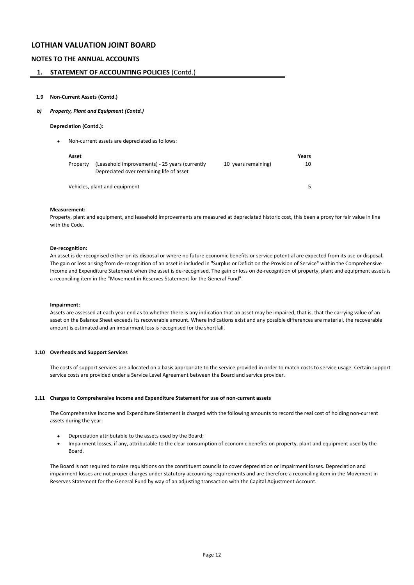### **NOTES TO THE ANNUAL ACCOUNTS**

### **1. STATEMENT OF ACCOUNTING POLICIES** (Contd.)

#### **1.9 Non-Current Assets (Contd.)**

#### *b) Property, Plant and Equipment (Contd.)*

#### **Depreciation (Contd.):**

• Non-current assets are depreciated as follows:

| Asset    |                                                                                            |                     | Years |
|----------|--------------------------------------------------------------------------------------------|---------------------|-------|
| Property | (Leasehold improvements) - 25 years (currently<br>Depreciated over remaining life of asset | 10 years remaining) | 10    |
|          | Vehicles, plant and equipment                                                              |                     |       |

#### **Measurement:**

Property, plant and equipment, and leasehold improvements are measured at depreciated historic cost, this been a proxy for fair value in line with the Code.

### **De-recognition:**

An asset is de-recognised either on its disposal or where no future economic benefits or service potential are expected from its use or disposal. The gain or loss arising from de-recognition of an asset is included in "Surplus or Deficit on the Provision of Service" within the Comprehensive Income and Expenditure Statement when the asset is de-recognised. The gain or loss on de-recognition of property, plant and equipment assets is a reconciling item in the "Movement in Reserves Statement for the General Fund".

#### **Impairment:**

Assets are assessed at each year end as to whether there is any indication that an asset may be impaired, that is, that the carrying value of an asset on the Balance Sheet exceeds its recoverable amount. Where indications exist and any possible differences are material, the recoverable amount is estimated and an impairment loss is recognised for the shortfall.

#### **1.10 Overheads and Support Services**

The costs of support services are allocated on a basis appropriate to the service provided in order to match costs to service usage. Certain support service costs are provided under a Service Level Agreement between the Board and service provider.

#### **1.11 Charges to Comprehensive Income and Expenditure Statement for use of non-current assets**

The Comprehensive Income and Expenditure Statement is charged with the following amounts to record the real cost of holding non-current assets during the year:

- Depreciation attributable to the assets used by the Board;
- Impairment losses, if any, attributable to the clear consumption of economic benefits on property, plant and equipment used by the Board.

The Board is not required to raise requisitions on the constituent councils to cover depreciation or impairment losses. Depreciation and impairment losses are not proper charges under statutory accounting requirements and are therefore a reconciling item in the Movement in Reserves Statement for the General Fund by way of an adjusting transaction with the Capital Adjustment Account.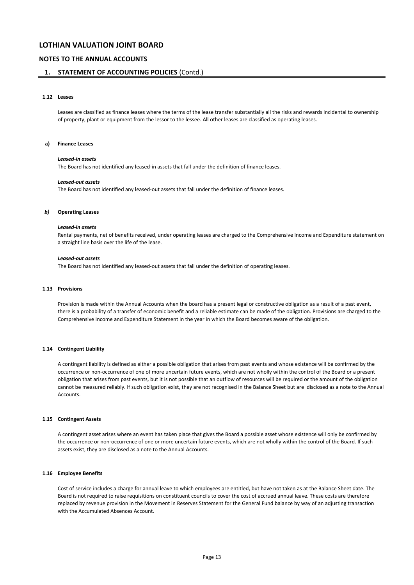### **NOTES TO THE ANNUAL ACCOUNTS**

### **1. STATEMENT OF ACCOUNTING POLICIES** (Contd.)

#### **1.12 Leases**

Leases are classified as finance leases where the terms of the lease transfer substantially all the risks and rewards incidental to ownership of property, plant or equipment from the lessor to the lessee. All other leases are classified as operating leases.

#### **a) Finance Leases**

#### *Leased-in assets*

The Board has not identified any leased-in assets that fall under the definition of finance leases.

#### *Leased-out assets*

The Board has not identified any leased-out assets that fall under the definition of finance leases.

#### *b)* **Operating Leases**

#### *Leased-in assets*

Rental payments, net of benefits received, under operating leases are charged to the Comprehensive Income and Expenditure statement on a straight line basis over the life of the lease.

#### *Leased-out assets*

The Board has not identified any leased-out assets that fall under the definition of operating leases.

#### **1.13 Provisions**

Provision is made within the Annual Accounts when the board has a present legal or constructive obligation as a result of a past event, there is a probability of a transfer of economic benefit and a reliable estimate can be made of the obligation. Provisions are charged to the Comprehensive Income and Expenditure Statement in the year in which the Board becomes aware of the obligation.

#### **1.14 Contingent Liability**

A contingent liability is defined as either a possible obligation that arises from past events and whose existence will be confirmed by the occurrence or non-occurrence of one of more uncertain future events, which are not wholly within the control of the Board or a present obligation that arises from past events, but it is not possible that an outflow of resources will be required or the amount of the obligation cannot be measured reliably. If such obligation exist, they are not recognised in the Balance Sheet but are disclosed as a note to the Annual **Accounts** 

#### **1.15 Contingent Assets**

A contingent asset arises where an event has taken place that gives the Board a possible asset whose existence will only be confirmed by the occurrence or non-occurrence of one or more uncertain future events, which are not wholly within the control of the Board. If such assets exist, they are disclosed as a note to the Annual Accounts.

#### **1.16 Employee Benefits**

Cost of service includes a charge for annual leave to which employees are entitled, but have not taken as at the Balance Sheet date. The Board is not required to raise requisitions on constituent councils to cover the cost of accrued annual leave. These costs are therefore replaced by revenue provision in the Movement in Reserves Statement for the General Fund balance by way of an adjusting transaction with the Accumulated Absences Account.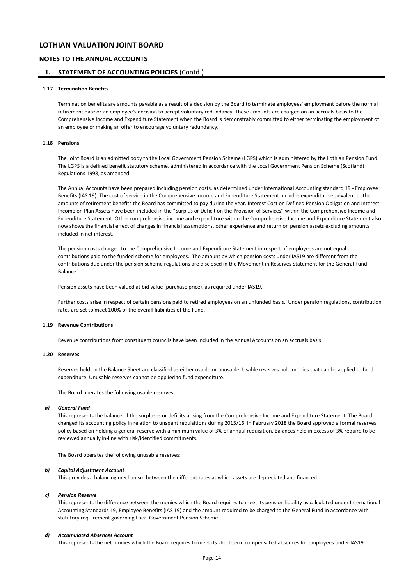### **NOTES TO THE ANNUAL ACCOUNTS**

### **1. STATEMENT OF ACCOUNTING POLICIES** (Contd.)

#### **1.17 Termination Benefits**

Termination benefits are amounts payable as a result of a decision by the Board to terminate employees' employment before the normal retirement date or an employee's decision to accept voluntary redundancy. These amounts are charged on an accruals basis to the Comprehensive Income and Expenditure Statement when the Board is demonstrably committed to either terminating the employment of an employee or making an offer to encourage voluntary redundancy.

### **1.18 Pensions**

The Joint Board is an admitted body to the Local Government Pension Scheme (LGPS) which is administered by the Lothian Pension Fund. The LGPS is a defined benefit statutory scheme, administered in accordance with the Local Government Pension Scheme (Scotland) Regulations 1998, as amended.

The Annual Accounts have been prepared including pension costs, as determined under International Accounting standard 19 - Employee Benefits (IAS 19). The cost of service in the Comprehensive Income and Expenditure Statement includes expenditure equivalent to the amounts of retirement benefits the Board has committed to pay during the year. Interest Cost on Defined Pension Obligation and Interest Income on Plan Assets have been included in the "Surplus or Deficit on the Provision of Services" within the Comprehensive Income and Expenditure Statement. Other comprehensive income and expenditure within the Comprehensive Income and Expenditure Statement also now shows the financial effect of changes in financial assumptions, other experience and return on pension assets excluding amounts included in net interest.

The pension costs charged to the Comprehensive Income and Expenditure Statement in respect of employees are not equal to contributions paid to the funded scheme for employees. The amount by which pension costs under IAS19 are different from the contributions due under the pension scheme regulations are disclosed in the Movement in Reserves Statement for the General Fund Balance.

Pension assets have been valued at bid value (purchase price), as required under IAS19.

Further costs arise in respect of certain pensions paid to retired employees on an unfunded basis. Under pension regulations, contribution rates are set to meet 100% of the overall liabilities of the Fund.

#### **1.19 Revenue Contributions**

Revenue contributions from constituent councils have been included in the Annual Accounts on an accruals basis.

#### **1.20 Reserves**

Reserves held on the Balance Sheet are classified as either usable or unusable. Usable reserves hold monies that can be applied to fund expenditure. Unusable reserves cannot be applied to fund expenditure.

The Board operates the following usable reserves:

#### *a) General Fund*

This represents the balance of the surpluses or deficits arising from the Comprehensive Income and Expenditure Statement. The Board changed its accounting policy in relation to unspent requisitions during 2015/16. In February 2018 the Board approved a formal reserves policy based on holding a general reserve with a minimum value of 3% of annual requisition. Balances held in excess of 3% require to be reviewed annually in-line with risk/identified commitments.

The Board operates the following unusable reserves:

#### *b) Capital Adjustment Account*

This provides a balancing mechanism between the different rates at which assets are depreciated and financed.

#### *c) Pension Reserve*

This represents the difference between the monies which the Board requires to meet its pension liability as calculated under International Accounting Standards 19, Employee Benefits (IAS 19) and the amount required to be charged to the General Fund in accordance with statutory requirement governing Local Government Pension Scheme.

### *d) Accumulated Absences Account*

This represents the net monies which the Board requires to meet its short-term compensated absences for employees under IAS19.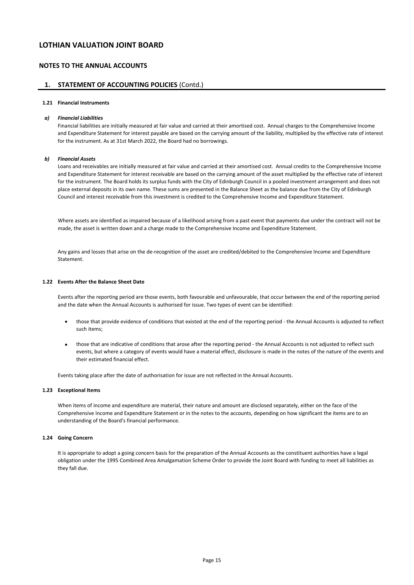### **NOTES TO THE ANNUAL ACCOUNTS**

### **1. STATEMENT OF ACCOUNTING POLICIES** (Contd.)

#### **1.21 Financial Instruments**

#### *a) Financial Liabilities*

Financial liabilities are initially measured at fair value and carried at their amortised cost. Annual charges to the Comprehensive Income and Expenditure Statement for interest payable are based on the carrying amount of the liability, multiplied by the effective rate of interest for the instrument. As at 31st March 2022, the Board had no borrowings.

#### *b) Financial Assets*

Loans and receivables are initially measured at fair value and carried at their amortised cost. Annual credits to the Comprehensive Income and Expenditure Statement for interest receivable are based on the carrying amount of the asset multiplied by the effective rate of interest for the instrument. The Board holds its surplus funds with the City of Edinburgh Council in a pooled investment arrangement and does not place external deposits in its own name. These sums are presented in the Balance Sheet as the balance due from the City of Edinburgh Council and interest receivable from this investment is credited to the Comprehensive Income and Expenditure Statement.

Where assets are identified as impaired because of a likelihood arising from a past event that payments due under the contract will not be made, the asset is written down and a charge made to the Comprehensive Income and Expenditure Statement.

Any gains and losses that arise on the de-recognition of the asset are credited/debited to the Comprehensive Income and Expenditure Statement.

#### **1.22 Events After the Balance Sheet Date**

Events after the reporting period are those events, both favourable and unfavourable, that occur between the end of the reporting period and the date when the Annual Accounts is authorised for issue. Two types of event can be identified:

- those that provide evidence of conditions that existed at the end of the reporting period - the Annual Accounts is adjusted to reflect such items;
- those that are indicative of conditions that arose after the reporting period - the Annual Accounts is not adjusted to reflect such events, but where a category of events would have a material effect, disclosure is made in the notes of the nature of the events and their estimated financial effect.

Events taking place after the date of authorisation for issue are not reflected in the Annual Accounts.

### **1.23 Exceptional Items**

When items of income and expenditure are material, their nature and amount are disclosed separately, either on the face of the Comprehensive Income and Expenditure Statement or in the notes to the accounts, depending on how significant the items are to an understanding of the Board's financial performance.

#### **1.24 Going Concern**

It is appropriate to adopt a going concern basis for the preparation of the Annual Accounts as the constituent authorities have a legal obligation under the 1995 Combined Area Amalgamation Scheme Order to provide the Joint Board with funding to meet all liabilities as they fall due.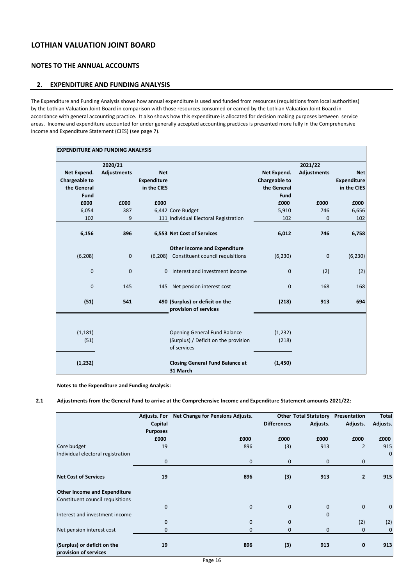## **NOTES TO THE ANNUAL ACCOUNTS**

## **2. EXPENDITURE AND FUNDING ANALYSIS**

The Expenditure and Funding Analysis shows how annual expenditure is used and funded from resources (requisitions from local authorities) by the Lothian Valuation Joint Board in comparison with those resources consumed or earned by the Lothian Valuation Joint Board in accordance with general accounting practice. It also shows how this expenditure is allocated for decision making purposes between service areas. Income and expenditure accounted for under generally accepted accounting practices is presented more fully in the Comprehensive Income and Expenditure Statement (CIES) (see page 7).

| <b>EXPENDITURE AND FUNDING ANALYSIS</b> |                    |                    |                                                                                     |                      |                    |                    |  |  |
|-----------------------------------------|--------------------|--------------------|-------------------------------------------------------------------------------------|----------------------|--------------------|--------------------|--|--|
|                                         | 2020/21            |                    |                                                                                     | 2021/22              |                    |                    |  |  |
| Net Expend.                             | <b>Adjustments</b> | <b>Net</b>         |                                                                                     | Net Expend.          | <b>Adjustments</b> | <b>Net</b>         |  |  |
| <b>Chargeable to</b>                    |                    | <b>Expenditure</b> |                                                                                     | <b>Chargeable to</b> |                    | <b>Expenditure</b> |  |  |
| the General                             |                    | in the CIES        |                                                                                     | the General          |                    | in the CIES        |  |  |
| Fund                                    |                    |                    |                                                                                     | Fund                 |                    |                    |  |  |
| £000                                    | £000               | £000               |                                                                                     | £000                 | £000               | £000               |  |  |
| 6,054                                   | 387                |                    | 6,442 Core Budget                                                                   | 5,910                | 746                | 6,656              |  |  |
| 102                                     | 9                  |                    | 111 Individual Electoral Registration                                               | 102                  | 0                  | 102                |  |  |
|                                         |                    |                    |                                                                                     |                      |                    |                    |  |  |
| 6,156                                   | 396                |                    | 6,553 Net Cost of Services                                                          | 6,012                | 746                | 6,758              |  |  |
|                                         |                    |                    | <b>Other Income and Expenditure</b>                                                 |                      |                    |                    |  |  |
| (6, 208)                                | $\mathbf 0$        | (6, 208)           | Constituent council requisitions                                                    | (6, 230)             | $\mathbf 0$        | (6, 230)           |  |  |
| $\mathbf{0}$                            | $\mathbf{0}$       | 0                  | Interest and investment income                                                      | $\mathbf{0}$         | (2)                | (2)                |  |  |
| 0                                       | 145                | 145                | Net pension interest cost                                                           | $\mathbf 0$          | 168                | 168                |  |  |
| (51)                                    | 541                |                    | 490 (Surplus) or deficit on the<br>provision of services                            | (218)                | 913                | 694                |  |  |
| (1, 181)<br>(51)                        |                    |                    | Opening General Fund Balance<br>(Surplus) / Deficit on the provision<br>of services | (1, 232)<br>(218)    |                    |                    |  |  |
| (1, 232)                                |                    |                    | <b>Closing General Fund Balance at</b><br>31 March                                  | (1, 450)             |                    |                    |  |  |

**Notes to the Expenditure and Funding Analysis:**

### **2.1 Adjustments from the General Fund to arrive at the Comprehensive Income and Expenditure Statement amounts 2021/22:**

|                                                      | <b>Adjusts. For</b> | Net Change for Pensions Adjusts. |                    | <b>Other Total Statutory</b> | Presentation   | <b>Total</b> |
|------------------------------------------------------|---------------------|----------------------------------|--------------------|------------------------------|----------------|--------------|
|                                                      | Capital             |                                  | <b>Differences</b> | Adjusts.                     | Adjusts.       | Adjusts.     |
|                                                      | <b>Purposes</b>     |                                  |                    |                              |                |              |
|                                                      | £000                | £000                             | £000               | £000                         | £000           | £000         |
| Core budget                                          | 19                  | 896                              | (3)                | 913                          | $\overline{2}$ | 915          |
| Individual electoral registration                    |                     |                                  |                    |                              |                | $\mathbf{0}$ |
|                                                      | 0                   | $\mathbf{0}$                     | $\mathbf 0$        | $\mathbf 0$                  | $\mathbf 0$    |              |
| <b>Net Cost of Services</b>                          | 19                  | 896                              | (3)                | 913                          | $\overline{2}$ | 915          |
| <b>Other Income and Expenditure</b>                  |                     |                                  |                    |                              |                |              |
| Constituent council requisitions                     |                     |                                  |                    |                              |                |              |
|                                                      | 0                   | $\mathbf{0}$                     | $\mathbf{0}$       | 0                            | 0              | $\mathbf 0$  |
| Interest and investment income                       |                     |                                  |                    | $\mathbf 0$                  |                |              |
|                                                      | $\mathbf{0}$        | $\mathbf{0}$                     | 0                  |                              | (2)            | (2)          |
| Net pension interest cost                            | 0                   | $\mathbf{0}$                     | 0                  | 0                            | 0              | 0            |
| (Surplus) or deficit on the<br>provision of services | 19                  | 896                              | (3)                | 913                          | 0              | 913          |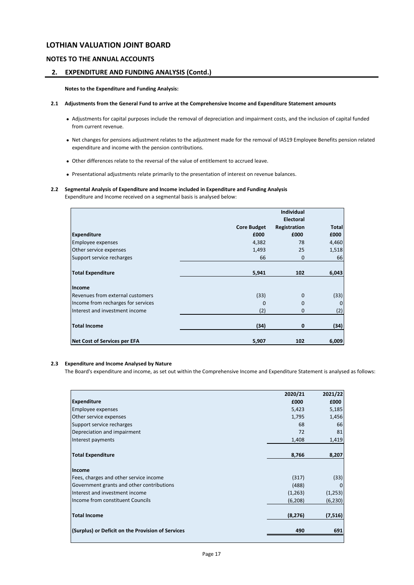### **NOTES TO THE ANNUAL ACCOUNTS**

## **2. EXPENDITURE AND FUNDING ANALYSIS (Contd.)**

**Notes to the Expenditure and Funding Analysis:**

- **2.1 Adjustments from the General Fund to arrive at the Comprehensive Income and Expenditure Statement amounts**
	- Adjustments for capital purposes include the removal of depreciation and impairment costs, and the inclusion of capital funded from current revenue.
	- Net changes for pensions adjustment relates to the adjustment made for the removal of IAS19 Employee Benefits pension related expenditure and income with the pension contributions.
	- Other differences relate to the reversal of the value of entitlement to accrued leave.
	- Presentational adjustments relate primarily to the presentation of interest on revenue balances.

## **2.2 Segmental Analysis of Expenditure and Income included in Expenditure and Funding Analysis**

Expenditure and Income received on a segmental basis is analysed below:

|                                     |                    | <b>Individual</b> |              |
|-------------------------------------|--------------------|-------------------|--------------|
|                                     |                    | <b>Electoral</b>  |              |
|                                     | <b>Core Budget</b> | Registration      | <b>Total</b> |
| <b>Expenditure</b>                  | £000               | £000              | £000         |
| Employee expenses                   | 4,382              | 78                | 4,460        |
| Other service expenses              | 1,493              | 25                | 1,518        |
| Support service recharges           | 66                 | $\mathbf{0}$      | 66           |
| <b>Total Expenditure</b>            | 5,941              | 102               | 6,043        |
| Income                              |                    |                   |              |
| Revenues from external customers    | (33)               | 0                 | (33)         |
| Income from recharges for services  | $\Omega$           | $\Omega$          | 0            |
| Interest and investment income      | (2)                | $\mathbf{0}$      | (2)          |
| <b>Total Income</b>                 | (34)               | 0                 | (34)         |
| <b>Net Cost of Services per EFA</b> | 5,907              | 102               | 6,009        |

### **2.3 Expenditure and Income Analysed by Nature**

The Board's expenditure and income, as set out within the Comprehensive Income and Expenditure Statement is analysed as follows:

|                                                   | 2020/21  | 2021/22  |
|---------------------------------------------------|----------|----------|
| <b>Expenditure</b>                                | £000     | £000     |
| Employee expenses                                 | 5,423    | 5,185    |
| Other service expenses                            | 1,795    | 1,456    |
| Support service recharges                         | 68       | 66       |
| Depreciation and impairment                       | 72       | 81       |
| Interest payments                                 | 1,408    | 1,419    |
| <b>Total Expenditure</b>                          | 8,766    | 8,207    |
| Income                                            |          |          |
| Fees, charges and other service income            | (317)    | (33)     |
| Government grants and other contributions         | (488)    | 0        |
| Interest and investment income                    | (1,263)  | (1,253)  |
| Income from constituent Councils                  | (6, 208) | (6, 230) |
| <b>Total Income</b>                               | (8, 276) | (7, 516) |
| (Surplus) or Deficit on the Provision of Services | 490      | 691      |
|                                                   |          |          |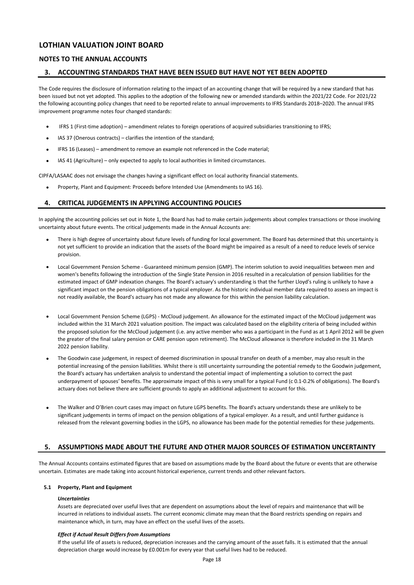### **NOTES TO THE ANNUAL ACCOUNTS**

### **3. ACCOUNTING STANDARDS THAT HAVE BEEN ISSUED BUT HAVE NOT YET BEEN ADOPTED**

The Code requires the disclosure of information relating to the impact of an accounting change that will be required by a new standard that has been issued but not yet adopted. This applies to the adoption of the following new or amended standards within the 2021/22 Code. For 2021/22 the following accounting policy changes that need to be reported relate to annual improvements to IFRS Standards 2018–2020. The annual IFRS improvement programme notes four changed standards:

- IFRS 1 (First-time adoption) – amendment relates to foreign operations of acquired subsidiaries transitioning to IFRS;
- IAS 37 (Onerous contracts) – clarifies the intention of the standard;
- IFRS 16 (Leases) – amendment to remove an example not referenced in the Code material;
- IAS 41 (Agriculture) only expected to apply to local authorities in limited circumstances.

CIPFA/LASAAC does not envisage the changes having a significant effect on local authority financial statements.

• Property, Plant and Equipment: Proceeds before Intended Use (Amendments to IAS 16).

### **4. CRITICAL JUDGEMENTS IN APPLYING ACCOUNTING POLICIES**

In applying the accounting policies set out in Note 1, the Board has had to make certain judgements about complex transactions or those involving uncertainty about future events. The critical judgements made in the Annual Accounts are:

- There is high degree of uncertainty about future levels of funding for local government. The Board has determined that this uncertainty is not yet sufficient to provide an indication that the assets of the Board might be impaired as a result of a need to reduce levels of service provision.
- Local Government Pension Scheme - Guaranteed minimum pension (GMP). The interim solution to avoid inequalities between men and women's benefits following the introduction of the Single State Pension in 2016 resulted in a recalculation of pension liabilities for the estimated impact of GMP indexation changes. The Board's actuary's understanding is that the further Lloyd's ruling is unlikely to have a significant impact on the pension obligations of a typical employer. As the historic individual member data required to assess an impact is not readily available, the Board's actuary has not made any allowance for this within the pension liability calculation.
- Local Government Pension Scheme (LGPS) - McCloud judgement. An allowance for the estimated impact of the McCloud judgement was included within the 31 March 2021 valuation position. The impact was calculated based on the eligibility criteria of being included within the proposed solution for the McCloud judgement (i.e. any active member who was a participant in the Fund as at 1 April 2012 will be given the greater of the final salary pension or CARE pension upon retirement). The McCloud allowance is therefore included in the 31 March 2022 pension liability.
- The Goodwin case judgement, in respect of deemed discrimination in spousal transfer on death of a member, may also result in the potential increasing of the pension liabilities. Whilst there is still uncertainty surrounding the potential remedy to the Goodwin judgement, the Board's actuary has undertaken analysis to understand the potential impact of implementing a solution to correct the past underpayment of spouses' benefits. The approximate impact of this is very small for a typical Fund (c 0.1-0.2% of obligations). The Board's actuary does not believe there are sufficient grounds to apply an additional adjustment to account for this.
- The Walker and O'Brien court cases may impact on future LGPS benefits. The Board's actuary understands these are unlikely to be significant judgements in terms of impact on the pension obligations of a typical employer. As a result, and until further guidance is released from the relevant governing bodies in the LGPS, no allowance has been made for the potential remedies for these judgements.

### **5. ASSUMPTIONS MADE ABOUT THE FUTURE AND OTHER MAJOR SOURCES OF ESTIMATION UNCERTAINTY**

The Annual Accounts contains estimated figures that are based on assumptions made by the Board about the future or events that are otherwise uncertain. Estimates are made taking into account historical experience, current trends and other relevant factors.

### **5.1 Property, Plant and Equipment**

### *Uncertainties*

Assets are depreciated over useful lives that are dependent on assumptions about the level of repairs and maintenance that will be incurred in relations to individual assets. The current economic climate may mean that the Board restricts spending on repairs and maintenance which, in turn, may have an effect on the useful lives of the assets.

### *Effect if Actual Result Differs from Assumptions*

If the useful life of assets is reduced, depreciation increases and the carrying amount of the asset falls. It is estimated that the annual depreciation charge would increase by £0.001m for every year that useful lives had to be reduced.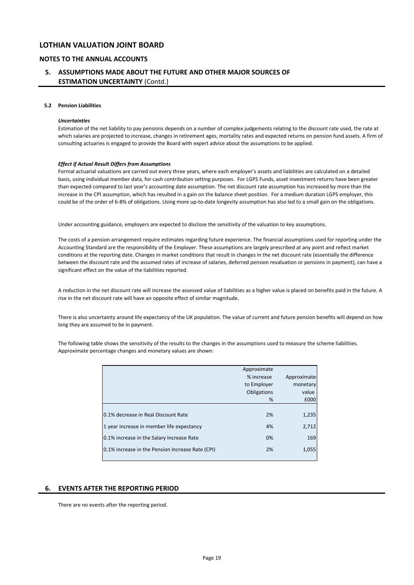### **NOTES TO THE ANNUAL ACCOUNTS**

## **5. ASSUMPTIONS MADE ABOUT THE FUTURE AND OTHER MAJOR SOURCES OF ESTIMATION UNCERTAINTY** (Contd.)

#### **5.2 Pension Liabilities**

#### *Uncertainties*

Estimation of the net liability to pay pensions depends on a number of complex judgements relating to the discount rate used, the rate at which salaries are projected to increase, changes in retirement ages, mortality rates and expected returns on pension fund assets. A firm of consulting actuaries is engaged to provide the Board with expert advice about the assumptions to be applied.

#### *Effect if Actual Result Differs from Assumptions*

Formal actuarial valuations are carried out every three years, where each employer's assets and liabilities are calculated on a detailed basis, using individual member data, for cash contribution setting purposes. For LGPS Funds, asset investment returns have been greater than expected compared to last year's accounting date assumption. The net discount rate assumption has increased by more than the increase in the CPI assumption, which has resulted in a gain on the balance sheet position. For a medium duration LGPS employer, this could be of the order of 6-8% of obligations. Using more up-to-date longevity assumption has also led to a small gain on the obligations.

Under accounting guidance, employers are expected to disclose the sensitivity of the valuation to key assumptions.

The costs of a pension arrangement require estimates regarding future experience. The financial assumptions used for reporting under the Accounting Standard are the responsibility of the Employer. These assumptions are largely prescribed at any point and reflect market conditions at the reporting date. Changes in market conditions that result in changes in the net discount rate (essentially the difference between the discount rate and the assumed rates of increase of salaries, deferred pension revaluation or pensions in payment), can have a significant effect on the value of the liabilities reported.

A reduction in the net discount rate will increase the assessed value of liabilities as a higher value is placed on benefits paid in the future. A rise in the net discount rate will have an opposite effect of similar magnitude.

There is also uncertainty around life expectancy of the UK population. The value of current and future pension benefits will depend on how long they are assumed to be in payment.

The following table shows the sensitivity of the results to the changes in the assumptions used to measure the scheme liabilities. Approximate percentage changes and monetary values are shown:

|                                                  | Approximate |             |
|--------------------------------------------------|-------------|-------------|
|                                                  | % increase  | Approximate |
|                                                  | to Employer | monetary    |
|                                                  | Obligations | value       |
|                                                  | %           | £000        |
|                                                  |             |             |
| 0.1% decrease in Real Discount Rate              | 2%          | 1,235       |
| 1 year increase in member life expectancy        | 4%          | 2,712       |
| 0.1% increase in the Salary Increase Rate        | 0%          | 169         |
| 0.1% increase in the Pension Increase Rate (CPI) | 2%          | 1,055       |
|                                                  |             |             |

### **6. EVENTS AFTER THE REPORTING PERIOD**

There are no events after the reporting period.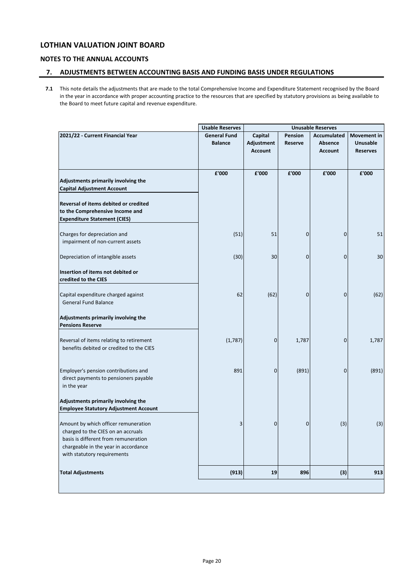## **NOTES TO THE ANNUAL ACCOUNTS**

## **7. ADJUSTMENTS BETWEEN ACCOUNTING BASIS AND FUNDING BASIS UNDER REGULATIONS**

**7.1** This note details the adjustments that are made to the total Comprehensive Income and Expenditure Statement recognised by the Board in the year in accordance with proper accounting practice to the resources that are specified by statutory provisions as being available to the Board to meet future capital and revenue expenditure.

|                                              | <b>Usable Reserves</b> |                |         | <b>Unusable Reserves</b> |                    |
|----------------------------------------------|------------------------|----------------|---------|--------------------------|--------------------|
| 2021/22 - Current Financial Year             | <b>General Fund</b>    | Capital        | Pension | <b>Accumulated</b>       | <b>Movement</b> in |
|                                              | <b>Balance</b>         | Adjustment     | Reserve | <b>Absence</b>           | Unusable           |
|                                              |                        | <b>Account</b> |         | <b>Account</b>           | <b>Reserves</b>    |
|                                              |                        |                |         |                          |                    |
|                                              | £'000                  | £'000          | £'000   | £'000                    | £'000              |
| Adjustments primarily involving the          |                        |                |         |                          |                    |
| <b>Capital Adjustment Account</b>            |                        |                |         |                          |                    |
| Reversal of items debited or credited        |                        |                |         |                          |                    |
| to the Comprehensive Income and              |                        |                |         |                          |                    |
| <b>Expenditure Statement (CIES)</b>          |                        |                |         |                          |                    |
|                                              |                        |                |         |                          |                    |
| Charges for depreciation and                 | (51)                   | 51             | 0       | 0                        | 51                 |
| impairment of non-current assets             |                        |                |         |                          |                    |
|                                              |                        |                |         |                          |                    |
| Depreciation of intangible assets            | (30)                   | 30             | 0       | 0                        | 30                 |
| Insertion of items not debited or            |                        |                |         |                          |                    |
| credited to the CIES                         |                        |                |         |                          |                    |
|                                              |                        |                |         |                          |                    |
| Capital expenditure charged against          | 62                     | (62)           | 0       | 0                        | (62)               |
| <b>General Fund Balance</b>                  |                        |                |         |                          |                    |
| Adjustments primarily involving the          |                        |                |         |                          |                    |
| <b>Pensions Reserve</b>                      |                        |                |         |                          |                    |
|                                              |                        |                |         |                          |                    |
| Reversal of items relating to retirement     | (1,787)                | 0              | 1,787   | 0                        | 1,787              |
| benefits debited or credited to the CIES     |                        |                |         |                          |                    |
|                                              |                        |                |         |                          |                    |
| Employer's pension contributions and         | 891                    | 0              | (891)   | 0                        | (891)              |
| direct payments to pensioners payable        |                        |                |         |                          |                    |
| in the year                                  |                        |                |         |                          |                    |
|                                              |                        |                |         |                          |                    |
| Adjustments primarily involving the          |                        |                |         |                          |                    |
| <b>Employee Statutory Adjustment Account</b> |                        |                |         |                          |                    |
| Amount by which officer remuneration         | 3                      | 0              | 0       | (3)                      | (3)                |
| charged to the CIES on an accruals           |                        |                |         |                          |                    |
| basis is different from remuneration         |                        |                |         |                          |                    |
| chargeable in the year in accordance         |                        |                |         |                          |                    |
| with statutory requirements                  |                        |                |         |                          |                    |
|                                              |                        |                |         |                          |                    |
| <b>Total Adjustments</b>                     | (913)                  | 19             | 896     | (3)                      | 913                |
|                                              |                        |                |         |                          |                    |
|                                              |                        |                |         |                          |                    |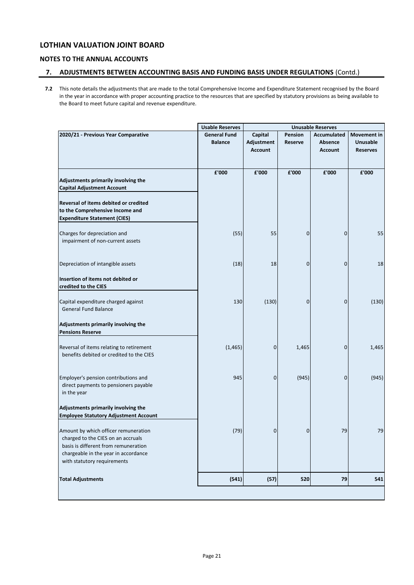## **NOTES TO THE ANNUAL ACCOUNTS**

## **7. ADJUSTMENTS BETWEEN ACCOUNTING BASIS AND FUNDING BASIS UNDER REGULATIONS** (Contd.)

**7.2** This note details the adjustments that are made to the total Comprehensive Income and Expenditure Statement recognised by the Board in the year in accordance with proper accounting practice to the resources that are specified by statutory provisions as being available to the Board to meet future capital and revenue expenditure.

|                                              | <b>Usable Reserves</b> |                |                | <b>Unusable Reserves</b> |                 |
|----------------------------------------------|------------------------|----------------|----------------|--------------------------|-----------------|
| 2020/21 - Previous Year Comparative          | <b>General Fund</b>    | Capital        | Pension        | Accumulated              | Movement in     |
|                                              | <b>Balance</b>         | Adjustment     | <b>Reserve</b> | Absence                  | <b>Unusable</b> |
|                                              |                        | <b>Account</b> |                | <b>Account</b>           | <b>Reserves</b> |
|                                              |                        |                |                |                          |                 |
|                                              | £'000                  | £'000          | £'000          | £'000                    | £'000           |
| Adjustments primarily involving the          |                        |                |                |                          |                 |
| <b>Capital Adjustment Account</b>            |                        |                |                |                          |                 |
| Reversal of items debited or credited        |                        |                |                |                          |                 |
| to the Comprehensive Income and              |                        |                |                |                          |                 |
| <b>Expenditure Statement (CIES)</b>          |                        |                |                |                          |                 |
| Charges for depreciation and                 | (55)                   | 55             | 0              | 0                        | 55              |
| impairment of non-current assets             |                        |                |                |                          |                 |
|                                              |                        |                |                |                          |                 |
| Depreciation of intangible assets            | (18)                   | 18             | 0              | 0                        | 18              |
|                                              |                        |                |                |                          |                 |
| Insertion of items not debited or            |                        |                |                |                          |                 |
| credited to the CIES                         |                        |                |                |                          |                 |
| Capital expenditure charged against          | 130                    | (130)          | 0              | 0                        | (130)           |
| <b>General Fund Balance</b>                  |                        |                |                |                          |                 |
|                                              |                        |                |                |                          |                 |
| Adjustments primarily involving the          |                        |                |                |                          |                 |
| <b>Pensions Reserve</b>                      |                        |                |                |                          |                 |
| Reversal of items relating to retirement     | (1, 465)               | 0              | 1,465          | 0                        | 1,465           |
| benefits debited or credited to the CIES     |                        |                |                |                          |                 |
|                                              |                        |                |                |                          |                 |
| Employer's pension contributions and         | 945                    | 0              | (945)          | 0                        | (945)           |
| direct payments to pensioners payable        |                        |                |                |                          |                 |
| in the year                                  |                        |                |                |                          |                 |
| Adjustments primarily involving the          |                        |                |                |                          |                 |
| <b>Employee Statutory Adjustment Account</b> |                        |                |                |                          |                 |
| Amount by which officer remuneration         | (79)                   | 0              | $\mathbf 0$    | 79                       | 79              |
| charged to the CIES on an accruals           |                        |                |                |                          |                 |
| basis is different from remuneration         |                        |                |                |                          |                 |
| chargeable in the year in accordance         |                        |                |                |                          |                 |
| with statutory requirements                  |                        |                |                |                          |                 |
| <b>Total Adjustments</b>                     | (541)                  | (57)           | 520            | 79                       | 541             |
|                                              |                        |                |                |                          |                 |
|                                              |                        |                |                |                          |                 |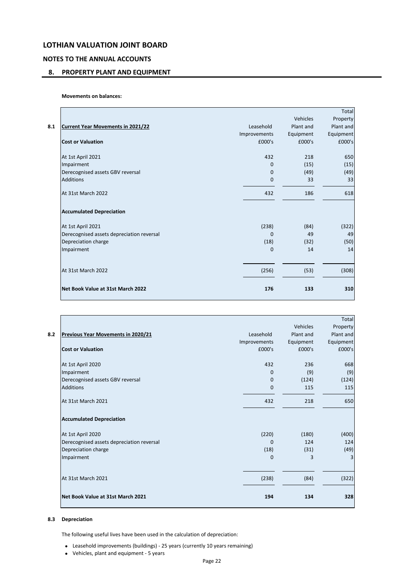## **NOTES TO THE ANNUAL ACCOUNTS**

## **8. PROPERTY PLANT AND EQUIPMENT**

**Movements on balances:**

|     |                                           |              |                 | Total     |
|-----|-------------------------------------------|--------------|-----------------|-----------|
|     |                                           |              | <b>Vehicles</b> | Property  |
| 8.1 | <b>Current Year Movements in 2021/22</b>  | Leasehold    | Plant and       | Plant and |
|     |                                           | Improvements | Equipment       | Equipment |
|     | <b>Cost or Valuation</b>                  | £000's       | £000's          | £000's    |
|     | At 1st April 2021                         | 432          | 218             | 650       |
|     | Impairment                                | $\Omega$     | (15)            | (15)      |
|     | Derecognised assets GBV reversal          | $\Omega$     | (49)            | (49)      |
|     | <b>Additions</b>                          | $\mathbf{0}$ | 33              | 33        |
|     | At 31st March 2022                        | 432          | 186             | 618       |
|     | <b>Accumulated Depreciation</b>           |              |                 |           |
|     | At 1st April 2021                         | (238)        | (84)            | (322)     |
|     | Derecognised assets depreciation reversal | $\Omega$     | 49              | 49        |
|     | Depreciation charge                       | (18)         | (32)            | (50)      |
|     | Impairment                                | $\mathbf{0}$ | 14              | 14        |
|     | At 31st March 2022                        | (256)        | (53)            | (308)     |
|     | Net Book Value at 31st March 2022         | 176          | 133             | 310       |
|     |                                           |              |                 |           |

|     |                                           |              |                 | Total     |
|-----|-------------------------------------------|--------------|-----------------|-----------|
|     |                                           |              | <b>Vehicles</b> | Property  |
| 8.2 | Previous Year Movements in 2020/21        | Leasehold    | Plant and       | Plant and |
|     |                                           | Improvements | Equipment       | Equipment |
|     | <b>Cost or Valuation</b>                  | £000's       | £000's          | £000's    |
|     | At 1st April 2020                         | 432          | 236             | 668       |
|     | Impairment                                | $\Omega$     | (9)             | (9)       |
|     | Derecognised assets GBV reversal          | $\Omega$     | (124)           | (124)     |
|     | <b>Additions</b>                          | $\mathbf{0}$ | 115             | 115       |
|     | At 31st March 2021                        | 432          | 218             | 650       |
|     | <b>Accumulated Depreciation</b>           |              |                 |           |
|     | At 1st April 2020                         | (220)        | (180)           | (400)     |
|     | Derecognised assets depreciation reversal | $\Omega$     | 124             | 124       |
|     | Depreciation charge                       | (18)         | (31)            | (49)      |
|     | Impairment                                | $\Omega$     | 3               |           |
|     | At 31st March 2021                        | (238)        | (84)            | (322)     |
|     |                                           |              |                 |           |
|     | Net Book Value at 31st March 2021         | 194          | 134             | 328       |
|     |                                           |              |                 |           |

### **8.3 Depreciation**

The following useful lives have been used in the calculation of depreciation:

- Leasehold improvements (buildings) 25 years (currently 10 years remaining)
- Vehicles, plant and equipment 5 years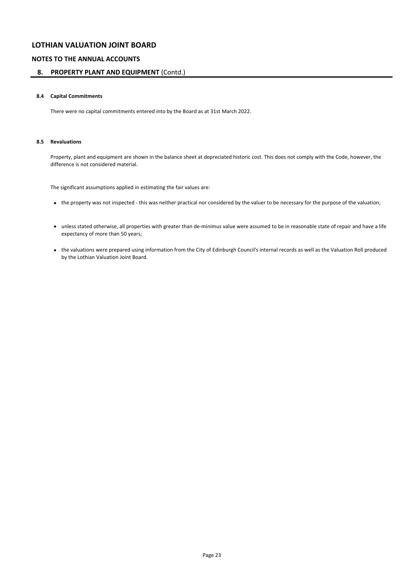## **NOTES TO THE ANNUAL ACCOUNTS**

### **8. PROPERTY PLANT AND EQUIPMENT** (Contd.)

### **8.4 Capital Commitments**

There were no capital commitments entered into by the Board as at 31st March 2022.

### **8.5 Revaluations**

Property, plant and equipment are shown in the balance sheet at depreciated historic cost. This does not comply with the Code, however, the difference is not considered material.

The significant assumptions applied in estimating the fair values are:

- the property was not inspected this was neither practical nor considered by the valuer to be necessary for the purpose of the valuation;
- unless stated otherwise, all properties with greater than de-minimus value were assumed to be in reasonable state of repair and have a life expectancy of more than 50 years;
- the valuations were prepared using information from the City of Edinburgh Council's internal records as well as the Valuation Roll produced by the Lothian Valuation Joint Board.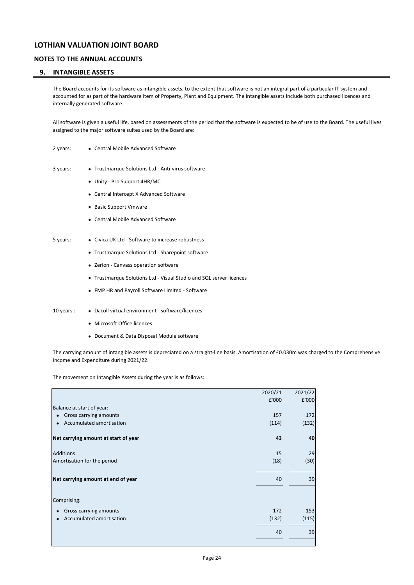## **NOTES TO THE ANNUAL ACCOUNTS**

### **9. INTANGIBLE ASSETS**

The Board accounts for its software as intangible assets, to the extent that software is not an integral part of a particular IT system and accounted for as part of the hardware item of Property, Plant and Equipment. The intangible assets include both purchased licences and internally generated software.

All software is given a useful life, based on assessments of the period that the software is expected to be of use to the Board. The useful lives assigned to the major software suites used by the Board are:

- 2 years: Central Mobile Advanced Software
- 3 years: Trustmarque Solutions Ltd Anti-virus software
	- Unity Pro Support 4HR/MC
	- Central Intercept X Advanced Software
	- Basic Support Vmware
	- Central Mobile Advanced Software
- 5 years: Civica UK Ltd Software to increase robustness
	- Trustmarque Solutions Ltd Sharepoint software
	- Zerion Canvass operation software
	- Trustmarque Solutions Ltd Visual Studio and SQL server licences
	- FMP HR and Payroll Software Limited Software
- 10 years : Dacoll virtual environment software/licences
	- Microsoft Office licences
	- Document & Data Disposal Module software

The carrying amount of intangible assets is depreciated on a straight-line basis. Amortisation of £0.030m was charged to the Comprehensive Income and Expenditure during 2021/22.

The movement on Intangible Assets during the year is as follows:

|                                       | 2020/21 | 2021/22 |
|---------------------------------------|---------|---------|
|                                       | £'000   | £'000   |
| Balance at start of year:             |         |         |
| Gross carrying amounts<br>$\bullet$   | 157     | 172     |
| Accumulated amortisation<br>$\bullet$ | (114)   | (132)   |
| Net carrying amount at start of year  | 43      | 40      |
| <b>Additions</b>                      | 15      | 29      |
| Amortisation for the period           | (18)    | (30)    |
| Net carrying amount at end of year    | 40      | 39      |
| Comprising:                           |         |         |
| Gross carrying amounts<br>٠           | 172     | 153     |
| Accumulated amortisation<br>$\bullet$ | (132)   | (115)   |
|                                       | 40      | 39      |
|                                       |         |         |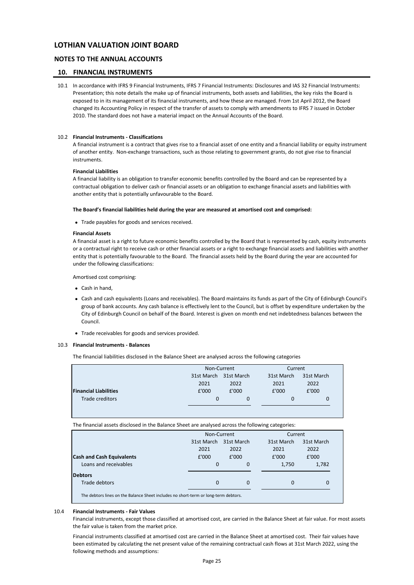### **NOTES TO THE ANNUAL ACCOUNTS**

### **10. FINANCIAL INSTRUMENTS**

10.1 In accordance with IFRS 9 Financial Instruments, IFRS 7 Financial Instruments: Disclosures and IAS 32 Financial Instruments: Presentation; this note details the make up of financial instruments, both assets and liabilities, the key risks the Board is exposed to in its management of its financial instruments, and how these are managed. From 1st April 2012, the Board changed its Accounting Policy in respect of the transfer of assets to comply with amendments to IFRS 7 issued in October 2010. The standard does not have a material impact on the Annual Accounts of the Board.

### 10.2 **Financial Instruments - Classifications**

A financial instrument is a contract that gives rise to a financial asset of one entity and a financial liability or equity instrument of another entity. Non-exchange transactions, such as those relating to government grants, do not give rise to financial instruments.

#### **Financial Liabilities**

A financial liability is an obligation to transfer economic benefits controlled by the Board and can be represented by a contractual obligation to deliver cash or financial assets or an obligation to exchange financial assets and liabilities with another entity that is potentially unfavourable to the Board.

#### **The Board's financial liabilities held during the year are measured at amortised cost and comprised:**

• Trade payables for goods and services received.

#### **Financial Assets**

A financial asset is a right to future economic benefits controlled by the Board that is represented by cash, equity instruments or a contractual right to receive cash or other financial assets or a right to exchange financial assets and liabilities with another entity that is potentially favourable to the Board. The financial assets held by the Board during the year are accounted for under the following classifications:

 Amortised cost comprising:

- Cash in hand,
- Cash and cash equivalents (Loans and receivables). The Board maintains its funds as part of the City of Edinburgh Council's group of bank accounts. Any cash balance is effectively lent to the Council, but is offset by expenditure undertaken by the City of Edinburgh Council on behalf of the Board. Interest is given on month end net indebtedness balances between the Council.
- Trade receivables for goods and services provided.

### 10.3 **Financial Instruments - Balances**

The financial liabilities disclosed in the Balance Sheet are analysed across the following categories

|                              |                       | Non-Current |            | Current    |
|------------------------------|-----------------------|-------------|------------|------------|
|                              | 31st March 31st March |             | 31st March | 31st March |
|                              | 2021                  | 2022        | 2021       | 2022       |
| <b>Financial Liabilities</b> | £'000                 | £'000       | £'000      | £'000      |
| Trade creditors              | 0                     |             |            |            |

The financial assets disclosed in the Balance Sheet are analysed across the following categories:

|                                                                                     | Non-Current              |       | Current    |            |
|-------------------------------------------------------------------------------------|--------------------------|-------|------------|------------|
|                                                                                     | 31st March<br>31st March |       | 31st March | 31st March |
|                                                                                     | 2021                     | 2022  | 2021       | 2022       |
| <b>Cash and Cash Equivalents</b>                                                    | £'000                    | E'000 | £'000      | £'000      |
| Loans and receivables                                                               | $\mathbf 0$              | 0     | 1,750      | 1,782      |
| <b>Debtors</b>                                                                      |                          |       |            |            |
| Trade debtors                                                                       | $\Omega$                 | 0     | 0          | 0          |
| The debtors lines on the Balance Sheet includes no short-term or long-term debtors. |                          |       |            |            |

### 10.4 **Financial Instruments - Fair Values**

Financial instruments, except those classified at amortised cost, are carried in the Balance Sheet at fair value. For most assets the fair value is taken from the market price.

Financial instruments classified at amortised cost are carried in the Balance Sheet at amortised cost. Their fair values have been estimated by calculating the net present value of the remaining contractual cash flows at 31st March 2022, using the following methods and assumptions: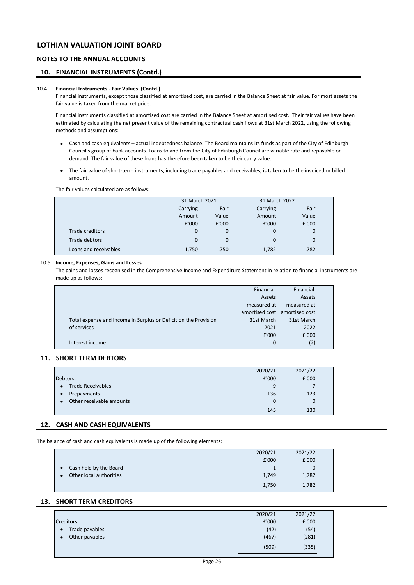## **NOTES TO THE ANNUAL ACCOUNTS**

### **10. FINANCIAL INSTRUMENTS (Contd.)**

### 10.4 **Financial Instruments - Fair Values (Contd.)**

Financial instruments, except those classified at amortised cost, are carried in the Balance Sheet at fair value. For most assets the fair value is taken from the market price.

Financial instruments classified at amortised cost are carried in the Balance Sheet at amortised cost. Their fair values have been estimated by calculating the net present value of the remaining contractual cash flows at 31st March 2022, using the following methods and assumptions:

- Cash and cash equivalents actual indebtedness balance. The Board maintains its funds as part of the City of Edinburgh Council's group of bank accounts. Loans to and from the City of Edinburgh Council are variable rate and repayable on demand. The fair value of these loans has therefore been taken to be their carry value.
- The fair value of short-term instruments, including trade payables and receivables, is taken to be the invoiced or billed amount.

The fair values calculated are as follows:

|                       | 31 March 2021<br>Fair<br>Carrying |       | 31 March 2022 |       |  |
|-----------------------|-----------------------------------|-------|---------------|-------|--|
|                       |                                   |       | Carrying      | Fair  |  |
|                       | Amount                            | Value | Amount        | Value |  |
|                       | £'000                             | £'000 | £'000         | £'000 |  |
| Trade creditors       | $\mathbf 0$                       | 0     | 0             | 0     |  |
| Trade debtors         | $\Omega$                          | 0     | $\Omega$      | 0     |  |
| Loans and receivables | 1,750                             | 1,750 | 1,782         | 1,782 |  |

### 10.5 **Income, Expenses, Gains and Losses**

The gains and losses recognised in the Comprehensive Income and Expenditure Statement in relation to financial instruments are made up as follows:

|                                                                 | Financial                     | Financial   |  |
|-----------------------------------------------------------------|-------------------------------|-------------|--|
|                                                                 | Assets                        | Assets      |  |
|                                                                 | measured at                   | measured at |  |
|                                                                 | amortised cost amortised cost |             |  |
| Total expense and income in Surplus or Deficit on the Provision | 31st March                    | 31st March  |  |
| of services :                                                   | 2021                          | 2022        |  |
|                                                                 | £'000                         | £'000       |  |
| Interest income                                                 | 0                             | (2)         |  |
|                                                                 |                               |             |  |

## **11. SHORT TERM DEBTORS**

|                                       | 2020/21 | 2021/22 |  |
|---------------------------------------|---------|---------|--|
| Debtors:                              | £'000   | £'000   |  |
| <b>Trade Receivables</b><br>$\bullet$ | 9       |         |  |
| Prepayments<br>$\bullet$              | 136     | 123     |  |
| Other receivable amounts              | 0       | 0       |  |
|                                       | 145     | 130     |  |

### **12. CASH AND CASH EQUIVALENTS**

The balance of cash and cash equivalents is made up of the following elements:

|           |                         | 2020/21 | 2021/22 |  |
|-----------|-------------------------|---------|---------|--|
|           |                         | £'000   | £'000   |  |
| $\bullet$ | Cash held by the Board  |         | 0       |  |
|           | Other local authorities | 1,749   | 1,782   |  |
|           |                         | 1,750   | 1,782   |  |

### **13. SHORT TERM CREDITORS**

|                             | 2020/21 | 2021/22 |
|-----------------------------|---------|---------|
| Creditors:                  | £'000   | £'000   |
| Trade payables<br>$\bullet$ | (42)    | (54)    |
| Other payables              | (467)   | (281)   |
|                             | (509)   | (335)   |
|                             |         |         |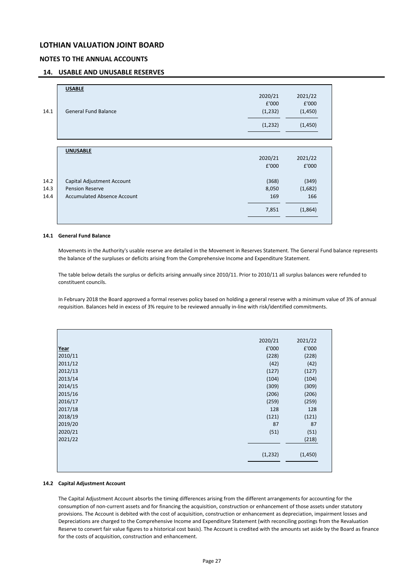## **NOTES TO THE ANNUAL ACCOUNTS**

### **14. USABLE AND UNUSABLE RESERVES**

| <b>General Fund Balance</b>        | 2020/21<br>£'000<br>(1, 232)                         | 2021/22<br>£'000<br>(1,450) |
|------------------------------------|------------------------------------------------------|-----------------------------|
|                                    |                                                      |                             |
|                                    |                                                      |                             |
|                                    |                                                      |                             |
|                                    | (1, 232)                                             | (1,450)                     |
|                                    |                                                      |                             |
|                                    |                                                      |                             |
| <b>UNUSABLE</b>                    |                                                      |                             |
|                                    | 2020/21                                              | 2021/22                     |
|                                    | £'000                                                | £'000                       |
|                                    |                                                      | (349)                       |
|                                    |                                                      | (1,682)                     |
| <b>Accumulated Absence Account</b> | 169                                                  | 166                         |
|                                    | 7,851                                                | (1,864)                     |
|                                    | Capital Adjustment Account<br><b>Pension Reserve</b> | (368)<br>8,050              |

#### **14.1 General Fund Balance**

Movements in the Authority's usable reserve are detailed in the Movement in Reserves Statement. The General Fund balance represents the balance of the surpluses or deficits arising from the Comprehensive Income and Expenditure Statement.

The table below details the surplus or deficits arising annually since 2010/11. Prior to 2010/11 all surplus balances were refunded to constituent councils.

In February 2018 the Board approved a formal reserves policy based on holding a general reserve with a minimum value of 3% of annual requisition. Balances held in excess of 3% require to be reviewed annually in-line with risk/identified commitments.

|         | 2020/21  | 2021/22 |
|---------|----------|---------|
| Year    | £'000    | £'000   |
| 2010/11 | (228)    | (228)   |
| 2011/12 | (42)     | (42)    |
| 2012/13 | (127)    | (127)   |
| 2013/14 | (104)    | (104)   |
| 2014/15 | (309)    | (309)   |
| 2015/16 | (206)    | (206)   |
| 2016/17 | (259)    | (259)   |
| 2017/18 | 128      | 128     |
| 2018/19 | (121)    | (121)   |
| 2019/20 | 87       | 87      |
| 2020/21 | (51)     | (51)    |
| 2021/22 |          | (218)   |
|         |          |         |
|         | (1, 232) | (1,450) |
|         |          |         |
|         |          |         |

### **14.2 Capital Adjustment Account**

The Capital Adjustment Account absorbs the timing differences arising from the different arrangements for accounting for the consumption of non-current assets and for financing the acquisition, construction or enhancement of those assets under statutory provisions. The Account is debited with the cost of acquisition, construction or enhancement as depreciation, impairment losses and Depreciations are charged to the Comprehensive Income and Expenditure Statement (with reconciling postings from the Revaluation Reserve to convert fair value figures to a historical cost basis). The Account is credited with the amounts set aside by the Board as finance for the costs of acquisition, construction and enhancement.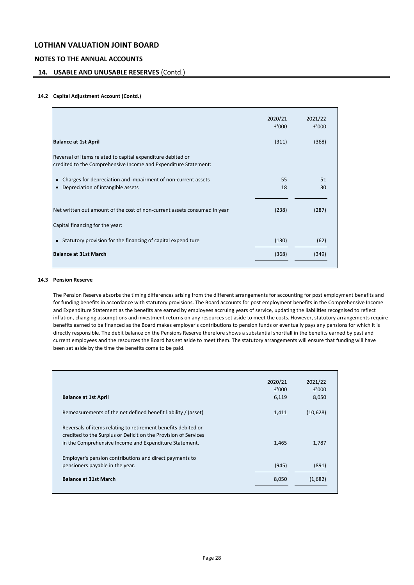## **NOTES TO THE ANNUAL ACCOUNTS**

### **14. USABLE AND UNUSABLE RESERVES** (Contd.)

### **14.2 Capital Adjustment Account (Contd.)**

|                                                                                                                                | 2020/21<br>£'000 | 2021/22<br>£'000 |
|--------------------------------------------------------------------------------------------------------------------------------|------------------|------------------|
| <b>Balance at 1st April</b>                                                                                                    | (311)            | (368)            |
| Reversal of items related to capital expenditure debited or<br>credited to the Comprehensive Income and Expenditure Statement: |                  |                  |
| Charges for depreciation and impairment of non-current assets<br>Depreciation of intangible assets                             | 55<br>18         | 51<br>30         |
| Net written out amount of the cost of non-current assets consumed in year                                                      | (238)            | (287)            |
| Capital financing for the year:                                                                                                |                  |                  |
| • Statutory provision for the financing of capital expenditure                                                                 | (130)            | (62)             |
| <b>Balance at 31st March</b>                                                                                                   | (368)            | (349)            |
|                                                                                                                                |                  |                  |

### **14.3 Pension Reserve**

The Pension Reserve absorbs the timing differences arising from the different arrangements for accounting for post employment benefits and for funding benefits in accordance with statutory provisions. The Board accounts for post employment benefits in the Comprehensive Income and Expenditure Statement as the benefits are earned by employees accruing years of service, updating the liabilities recognised to reflect inflation, changing assumptions and investment returns on any resources set aside to meet the costs. However, statutory arrangements require benefits earned to be financed as the Board makes employer's contributions to pension funds or eventually pays any pensions for which it is directly responsible. The debit balance on the Pensions Reserve therefore shows a substantial shortfall in the benefits earned by past and current employees and the resources the Board has set aside to meet them. The statutory arrangements will ensure that funding will have been set aside by the time the benefits come to be paid.

|                                                                 | 2020/21 | 2021/22  |
|-----------------------------------------------------------------|---------|----------|
|                                                                 | £'000   | £'000    |
| <b>Balance at 1st April</b>                                     | 6,119   | 8,050    |
| Remeasurements of the net defined benefit liability / (asset)   | 1,411   | (10,628) |
| Reversals of items relating to retirement benefits debited or   |         |          |
| credited to the Surplus or Deficit on the Provision of Services |         |          |
| in the Comprehensive Income and Expenditure Statement.          | 1,465   | 1,787    |
| Employer's pension contributions and direct payments to         |         |          |
| pensioners payable in the year.                                 | (945)   | (891)    |
| <b>Balance at 31st March</b>                                    | 8,050   | (1,682)  |
|                                                                 |         |          |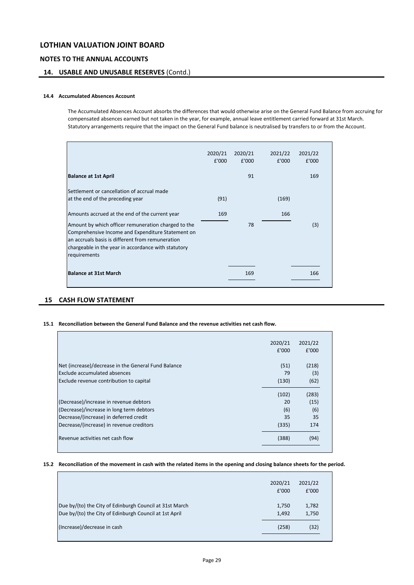### **NOTES TO THE ANNUAL ACCOUNTS**

## **14. USABLE AND UNUSABLE RESERVES** (Contd.)

### **14.4 Accumulated Absences Account**

The Accumulated Absences Account absorbs the differences that would otherwise arise on the General Fund Balance from accruing for compensated absences earned but not taken in the year, for example, annual leave entitlement carried forward at 31st March. Statutory arrangements require that the impact on the General Fund balance is neutralised by transfers to or from the Account.

|                                                                                                                                                                                                                                                                                       | 2020/21<br>£'000 | 2020/21<br>£'000 | 2021/22<br>£'000 | 2021/22<br>£'000 |  |
|---------------------------------------------------------------------------------------------------------------------------------------------------------------------------------------------------------------------------------------------------------------------------------------|------------------|------------------|------------------|------------------|--|
| <b>Balance at 1st April</b>                                                                                                                                                                                                                                                           |                  | 91               |                  | 169              |  |
| Settlement or cancellation of accrual made<br>at the end of the preceding year                                                                                                                                                                                                        | (91)             |                  | (169)            |                  |  |
| Amounts accrued at the end of the current year<br>Amount by which officer remuneration charged to the<br>Comprehensive Income and Expenditure Statement on<br>an accruals basis is different from remuneration<br>chargeable in the year in accordance with statutory<br>requirements | 169              | 78               | 166              | (3)              |  |
| <b>Balance at 31st March</b>                                                                                                                                                                                                                                                          |                  | 169              |                  | 166              |  |

## **15 CASH FLOW STATEMENT**

### **15.1 Reconciliation between the General Fund Balance and the revenue activities net cash flow.**

|                                                     | 2020/21 | 2021/22 |
|-----------------------------------------------------|---------|---------|
|                                                     | £'000   | £'000   |
| Net (increase)/decrease in the General Fund Balance | (51)    | (218)   |
| Exclude accumulated absences                        | 79      | (3)     |
| Exclude revenue contribution to capital             | (130)   | (62)    |
|                                                     | (102)   | (283)   |
| (Decrease)/increase in revenue debtors              | 20      | (15)    |
| (Decrease)/increase in long term debtors            | (6)     | (6)     |
| Decrease/(increase) in deferred credit              | 35      | 35      |
| Decrease/(increase) in revenue creditors            | (335)   | 174     |
| Revenue activities net cash flow                    | (388)   | (94)    |

### **15.2 Reconciliation of the movement in cash with the related items in the opening and closing balance sheets for the period.**

|                                                                                                                   | 2020/21<br>£'000 | 2021/22<br>£'000 |
|-------------------------------------------------------------------------------------------------------------------|------------------|------------------|
| Due by/(to) the City of Edinburgh Council at 31st March<br>Due by/(to) the City of Edinburgh Council at 1st April | 1.750<br>1.492   | 1,782<br>1,750   |
| (Increase)/decrease in cash                                                                                       | (258)            | (32)             |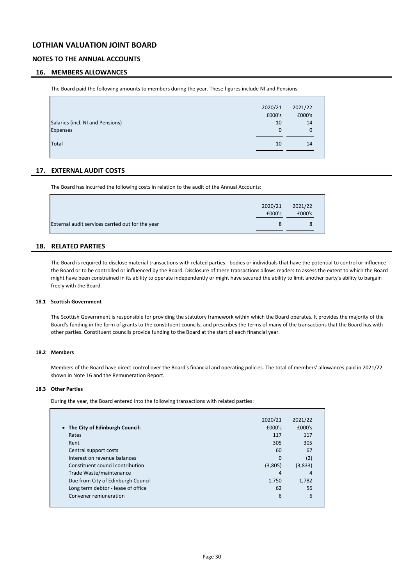## **NOTES TO THE ANNUAL ACCOUNTS**

### **16. MEMBERS ALLOWANCES**

The Board paid the following amounts to members during the year. These figures include NI and Pensions.

|                                  | 2020/21     | 2021/22 |
|----------------------------------|-------------|---------|
|                                  | £000's      | £000's  |
| Salaries (incl. NI and Pensions) | 10          | 14      |
| Expenses                         | $\mathbf 0$ | 0       |
| Total                            | 10          | 14      |
|                                  |             |         |

### **17. EXTERNAL AUDIT COSTS**

The Board has incurred the following costs in relation to the audit of the Annual Accounts:

|                                                  | 2020/21 | 2021/22 |  |
|--------------------------------------------------|---------|---------|--|
|                                                  | £000's  | £000's  |  |
| External audit services carried out for the year | 8       | 8       |  |
|                                                  |         |         |  |

### **18. RELATED PARTIES**

The Board is required to disclose material transactions with related parties - bodies or individuals that have the potential to control or influence the Board or to be controlled or influenced by the Board. Disclosure of these transactions allows readers to assess the extent to which the Board might have been constrained in its ability to operate independently or might have secured the ability to limit another party's ability to bargain freely with the Board.

#### **18.1 Scottish Government**

The Scottish Government is responsible for providing the statutory framework within which the Board operates. It provides the majority of the Board's funding in the form of grants to the constituent councils, and prescribes the terms of many of the transactions that the Board has with other parties. Constituent councils provide funding to the Board at the start of each financial year.

#### **18.2 Members**

Members of the Board have direct control over the Board's financial and operating policies. The total of members' allowances paid in 2021/22 shown in Note 16 and the Remuneration Report.

### **18.3 Other Parties**

During the year, the Board entered into the following transactions with related parties:

|                                    | 2020/21  | 2021/22 |
|------------------------------------|----------|---------|
| • The City of Edinburgh Council:   | £000's   | £000's  |
| Rates                              | 117      | 117     |
| Rent                               | 305      | 305     |
| Central support costs              | 60       | 67      |
| Interest on revenue balances       | $\Omega$ | (2)     |
| Constituent council contribution   | (3,805)  | (3,833) |
| Trade Waste/maintenance            | 4        | 4       |
| Due from City of Edinburgh Council | 1.750    | 1,782   |
| Long term debtor - lease of office | 62       | 56      |
| Convener remuneration              | 6        | 6       |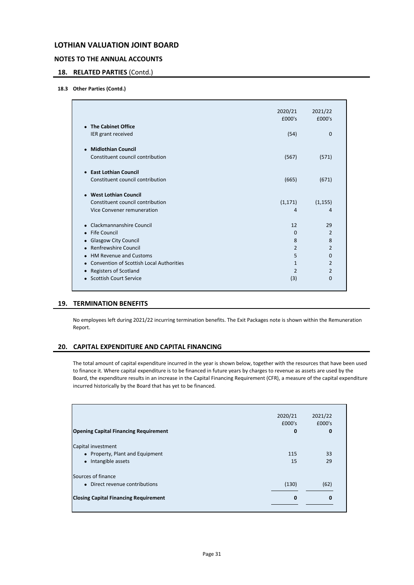## **NOTES TO THE ANNUAL ACCOUNTS**

## **18. RELATED PARTIES** (Contd.)

## **18.3 Other Parties (Contd.)**

|                                                       | 2020/21<br>£000's | 2021/22<br>£000's |
|-------------------------------------------------------|-------------------|-------------------|
| • The Cabinet Office                                  |                   |                   |
| IER grant received                                    | (54)              | $\Omega$          |
| • Midlothian Council                                  |                   |                   |
| Constituent council contribution                      | (567)             | (571)             |
| • East Lothian Council                                |                   |                   |
| Constituent council contribution                      | (665)             | (671)             |
| • West Lothian Council                                |                   |                   |
| Constituent council contribution                      | (1, 171)          | (1, 155)          |
| Vice Convener remuneration                            | 4                 | 4                 |
| Clackmannanshire Council                              | 12                | 29                |
| Fife Council<br>$\bullet$                             | $\Omega$          | $\overline{2}$    |
| <b>Glasgow City Council</b>                           | 8                 | 8                 |
| <b>Renfrewshire Council</b><br>$\bullet$              | $\overline{2}$    | $\overline{2}$    |
| <b>HM Revenue and Customs</b><br>$\bullet$            | 5                 | 0                 |
| Convention of Scottish Local Authorities<br>$\bullet$ | $\mathbf{1}$      | $\overline{2}$    |
| <b>Registers of Scotland</b>                          | $\overline{2}$    | $\overline{2}$    |
| • Scottish Court Service                              | (3)               | $\Omega$          |

### **19. TERMINATION BENEFITS**

No employees left during 2021/22 incurring termination benefits. The Exit Packages note is shown within the Remuneration Report.

### **20. CAPITAL EXPENDITURE AND CAPITAL FINANCING**

The total amount of capital expenditure incurred in the year is shown below, together with the resources that have been used to finance it. Where capital expenditure is to be financed in future years by charges to revenue as assets are used by the Board, the expenditure results in an increase in the Capital Financing Requirement (CFR), a measure of the capital expenditure incurred historically by the Board that has yet to be financed.

|                                              | 2020/21  | 2021/22  |  |
|----------------------------------------------|----------|----------|--|
|                                              | £000's   | £000's   |  |
| <b>Opening Capital Financing Requirement</b> | $\bf{0}$ | 0        |  |
| Capital investment                           |          |          |  |
| • Property, Plant and Equipment              | 115      | 33       |  |
| Intangible assets<br>$\bullet$               | 15       | 29       |  |
| Sources of finance                           |          |          |  |
| • Direct revenue contributions               | (130)    | (62)     |  |
| <b>Closing Capital Financing Requirement</b> | $\bf{0}$ | $\Omega$ |  |
|                                              |          |          |  |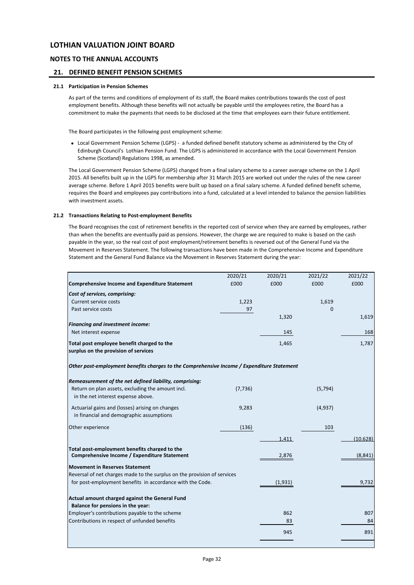### **NOTES TO THE ANNUAL ACCOUNTS**

### **21. DEFINED BENEFIT PENSION SCHEMES**

#### **21.1 Participation in Pension Schemes**

As part of the terms and conditions of employment of its staff, the Board makes contributions towards the cost of post employment benefits. Although these benefits will not actually be payable until the employees retire, the Board has a commitment to make the payments that needs to be disclosed at the time that employees earn their future entitlement.

The Board participates in the following post employment scheme:

• Local Government Pension Scheme (LGPS) - a funded defined benefit statutory scheme as administered by the City of Edinburgh Council's Lothian Pension Fund. The LGPS is administered in accordance with the Local Government Pension Scheme (Scotland) Regulations 1998, as amended.

The Local Government Pension Scheme (LGPS) changed from a final salary scheme to a career average scheme on the 1 April 2015. All benefits built up in the LGPS for membership after 31 March 2015 are worked out under the rules of the new career average scheme. Before 1 April 2015 benefits were built up based on a final salary scheme. A funded defined benefit scheme, requires the Board and employees pay contributions into a fund, calculated at a level intended to balance the pension liabilities with investment assets.

### **21.2 Transactions Relating to Post-employment Benefits**

The Board recognises the cost of retirement benefits in the reported cost of service when they are earned by employees, rather than when the benefits are eventually paid as pensions. However, the charge we are required to make is based on the cash payable in the year, so the real cost of post employment/retirement benefits is reversed out of the General Fund via the Movement in Reserves Statement. The following transactions have been made in the Comprehensive Income and Expenditure Statement and the General Fund Balance via the Movement in Reserves Statement during the year:

|                                                                                             | 2020/21  | 2020/21 | 2021/22  | 2021/22   |
|---------------------------------------------------------------------------------------------|----------|---------|----------|-----------|
| <b>Comprehensive Income and Expenditure Statement</b>                                       | £000     | £000    | £000     | £000      |
| Cost of services, comprising:                                                               |          |         |          |           |
| Current service costs                                                                       | 1,223    |         | 1,619    |           |
| Past service costs                                                                          | 97       |         | 0        |           |
|                                                                                             |          | 1,320   |          | 1,619     |
| <b>Financing and investment income:</b>                                                     |          |         |          |           |
| Net interest expense                                                                        |          | 145     |          | 168       |
| Total post employee benefit charged to the                                                  |          | 1,465   |          | 1,787     |
| surplus on the provision of services                                                        |          |         |          |           |
| Other post-employment benefits charges to the Comprehensive Income / Expenditure Statement  |          |         |          |           |
| Remeasurement of the net defined liability, comprising:                                     |          |         |          |           |
| Return on plan assets, excluding the amount incl.<br>in the net interest expense above.     | (7, 736) |         | (5, 794) |           |
| Actuarial gains and (losses) arising on changes<br>in financial and demographic assumptions | 9,283    |         | (4,937)  |           |
| Other experience                                                                            | (136)    |         | 103      |           |
|                                                                                             |          | 1,411   |          | (10, 628) |
| Total post-employment benefits charged to the                                               |          |         |          |           |
| Comprehensive Income / Expenditure Statement                                                |          | 2,876   |          | (8, 841)  |
| <b>Movement in Reserves Statement</b>                                                       |          |         |          |           |
| Reversal of net charges made to the surplus on the provision of services                    |          |         |          |           |
| for post-employment benefits in accordance with the Code.                                   |          | (1,931) |          | 9,732     |
| Actual amount charged against the General Fund                                              |          |         |          |           |
| Balance for pensions in the year:                                                           |          |         |          |           |
| Employer's contributions payable to the scheme                                              |          | 862     |          | 807       |
| Contributions in respect of unfunded benefits                                               |          | 83      |          | 84        |
|                                                                                             |          | 945     |          | 891       |
|                                                                                             |          |         |          |           |
|                                                                                             |          |         |          |           |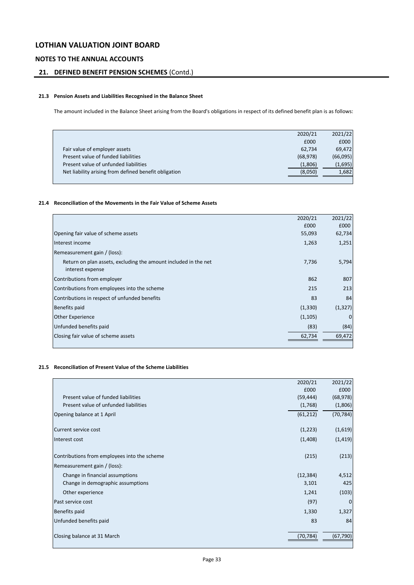## **NOTES TO THE ANNUAL ACCOUNTS**

## **21. DEFINED BENEFIT PENSION SCHEMES** (Contd.)

### **21.3 Pension Assets and Liabilities Recognised in the Balance Sheet**

The amount included in the Balance Sheet arising from the Board's obligations in respect of its defined benefit plan is as follows:

|                                                       | 2020/21   | 2021/22  |
|-------------------------------------------------------|-----------|----------|
|                                                       | £000      | £000     |
| Fair value of employer assets                         | 62,734    | 69,472   |
| Present value of funded liabilities                   | (68, 978) | (66,095) |
| Present value of unfunded liabilities                 | (1,806)   | (1,695)  |
| Net liability arising from defined benefit obligation | (8,050)   | 1,682    |
|                                                       |           |          |

### **21.4 Reconciliation of the Movements in the Fair Value of Scheme Assets**

|                                                                 | 2020/21  | 2021/22      |
|-----------------------------------------------------------------|----------|--------------|
|                                                                 | £000     | £000         |
| Opening fair value of scheme assets                             | 55,093   | 62,734       |
| Interest income                                                 | 1,263    | 1,251        |
| Remeasurement gain / (loss):                                    |          |              |
| Return on plan assets, excluding the amount included in the net | 7,736    | 5,794        |
| interest expense                                                |          |              |
| Contributions from employer                                     | 862      | 807          |
| Contributions from employees into the scheme                    | 215      | 213          |
| Contributions in respect of unfunded benefits                   | 83       | 84           |
| <b>Benefits paid</b>                                            | (1, 330) | (1, 327)     |
| <b>Other Experience</b>                                         | (1, 105) | $\mathbf{0}$ |
| Unfunded benefits paid                                          | (83)     | (84)         |
| Closing fair value of scheme assets                             | 62,734   | 69,472       |
|                                                                 |          |              |

### **21.5 Reconciliation of Present Value of the Scheme Liabilities**

|                                              | 2020/21   | 2021/22      |
|----------------------------------------------|-----------|--------------|
|                                              | £000      | £000         |
| Present value of funded liabilities          | (59, 444) | (68, 978)    |
| Present value of unfunded liabilities        | (1,768)   | (1,806)      |
| Opening balance at 1 April                   | (61, 212) | (70, 784)    |
|                                              |           |              |
| Current service cost                         | (1,223)   | (1,619)      |
| Interest cost                                | (1,408)   | (1, 419)     |
|                                              |           |              |
| Contributions from employees into the scheme | (215)     | (213)        |
| Remeasurement gain / (loss):                 |           |              |
| Change in financial assumptions              | (12, 384) | 4,512        |
| Change in demographic assumptions            | 3,101     | 425          |
| Other experience                             | 1,241     | (103)        |
| Past service cost                            | (97)      | $\mathbf{0}$ |
| <b>Benefits paid</b>                         | 1,330     | 1,327        |
| Unfunded benefits paid                       | 83        | 84           |
|                                              |           |              |
| Closing balance at 31 March                  | (70,784)  | (67,790)     |
|                                              |           |              |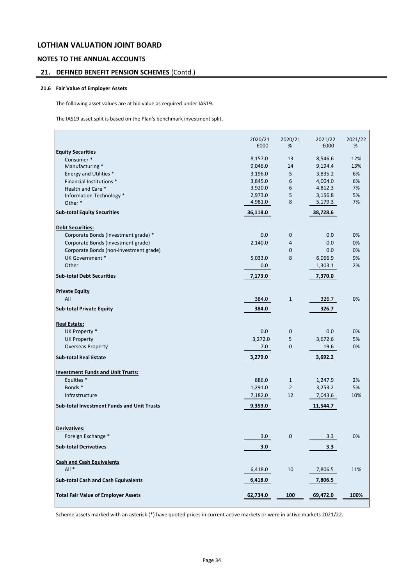### **NOTES TO THE ANNUAL ACCOUNTS**

## **21. DEFINED BENEFIT PENSION SCHEMES** (Contd.)

### **21.6 Fair Value of Employer Assets**

The following asset values are at bid value as required under IAS19.

The IAS19 asset split is based on the Plan's benchmark investment split.

|                                                   | 2020/21            | 2020/21<br>%   | 2021/22            | 2021/22<br>% |
|---------------------------------------------------|--------------------|----------------|--------------------|--------------|
| <b>Equity Securities</b>                          | £000               |                | £000               |              |
| Consumer*                                         | 8,157.0            | 13             | 8,546.6            | 12%          |
| Manufacturing *                                   | 9,046.0            | 14             | 9,194.4            | 13%          |
| Energy and Utilities *                            | 3,196.0            | 5              | 3,835.2            | 6%           |
| Financial Institutions *                          | 3,845.0            | 6              | 4,004.0            | 6%           |
| Health and Care *                                 | 3,920.0            | 6              | 4,812.3            | 7%           |
| Information Technology *                          | 2,973.0<br>4,981.0 | 5<br>8         | 3,156.8<br>5,179.3 | 5%<br>7%     |
| Other <sup>*</sup>                                |                    |                |                    |              |
| <b>Sub-total Equity Securities</b>                | 36,118.0           |                | 38,728.6           |              |
| <b>Debt Securities:</b>                           |                    |                |                    |              |
| Corporate Bonds (investment grade) *              | 0.0                | $\mathbf 0$    | 0.0                | 0%           |
| Corporate Bonds (investment grade)                | 2,140.0            | 4              | 0.0                | 0%           |
| Corporate Bonds (non-investment grade)            |                    | $\mathbf 0$    | 0.0                | 0%           |
| UK Government *                                   | 5,033.0            | 8              | 6,066.9            | 9%           |
| Other                                             | 0.0                |                | 1,303.1            | 2%           |
| <b>Sub-total Debt Securities</b>                  | 7,173.0            |                | 7,370.0            |              |
| <b>Private Equity</b>                             |                    |                |                    |              |
| All                                               | 384.0              | $\mathbf{1}$   | 326.7              | 0%           |
| <b>Sub-total Private Equity</b>                   | 384.0              |                | 326.7              |              |
| <b>Real Estate:</b>                               |                    |                |                    |              |
| UK Property *                                     | 0.0                | $\mathbf 0$    | 0.0                | 0%           |
| <b>UK Property</b>                                | 3,272.0            | 5              | 3,672.6            | 5%           |
| <b>Overseas Property</b>                          | 7.0                | 0              | 19.6               | 0%           |
| <b>Sub-total Real Estate</b>                      | 3,279.0            |                | 3,692.2            |              |
|                                                   |                    |                |                    |              |
| <b>Investment Funds and Unit Trusts:</b>          |                    |                |                    |              |
| Equities *                                        | 886.0              | $\mathbf{1}$   | 1,247.9            | 2%           |
| Bonds*                                            | 1,291.0            | $\overline{2}$ | 3,253.2            | 5%           |
| Infrastructure                                    | 7,182.0            | 12             | 7,043.6            | 10%          |
| <b>Sub-total Investment Funds and Unit Trusts</b> | 9,359.0            |                | 11,544.7           |              |
|                                                   |                    |                |                    |              |
| <b>Derivatives:</b>                               |                    |                |                    |              |
| Foreign Exchange *                                | 3.0                | $\mathbf 0$    | 3.3                | 0%           |
| <b>Sub-total Derivatives</b>                      | 3.0                |                | 3.3                |              |
| <b>Cash and Cash Equivalents</b>                  |                    |                |                    |              |
| $All*$                                            | 6,418.0            | 10             | 7,806.5            | 11%          |
| <b>Sub-total Cash and Cash Equivalents</b>        | 6,418.0            |                | 7,806.5            |              |
| <b>Total Fair Value of Employer Assets</b>        | 62,734.0           | 100            | 69,472.0           | 100%         |
|                                                   |                    |                |                    |              |

Scheme assets marked with an asterisk (\*) have quoted prices in current active markets or were in active markets 2021/22.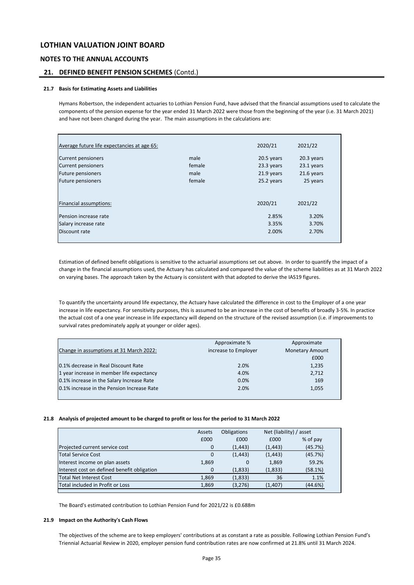### **NOTES TO THE ANNUAL ACCOUNTS**

### **21. DEFINED BENEFIT PENSION SCHEMES** (Contd.)

#### **21.7 Basis for Estimating Assets and Liabilities**

Hymans Robertson, the independent actuaries to Lothian Pension Fund, have advised that the financial assumptions used to calculate the components of the pension expense for the year ended 31 March 2022 were those from the beginning of the year (i.e. 31 March 2021) and have not been changed during the year. The main assumptions in the calculations are:

| Average future life expectancies at age 65: |        | 2020/21    | 2021/22    |
|---------------------------------------------|--------|------------|------------|
| Current pensioners                          | male   | 20.5 years | 20.3 years |
| Current pensioners                          | female | 23.3 years | 23.1 years |
| Future pensioners                           | male   | 21.9 years | 21.6 years |
| <b>Future pensioners</b>                    | female | 25.2 years | 25 years   |
| Financial assumptions:                      |        | 2020/21    | 2021/22    |
| Pension increase rate                       |        | 2.85%      | 3.20%      |
| Salary increase rate                        |        | 3.35%      | 3.70%      |
| Discount rate                               |        | 2.00%      | 2.70%      |

Estimation of defined benefit obligations is sensitive to the actuarial assumptions set out above. In order to quantify the impact of a change in the financial assumptions used, the Actuary has calculated and compared the value of the scheme liabilities as at 31 March 2022 on varying bases. The approach taken by the Actuary is consistent with that adopted to derive the IAS19 figures.

To quantify the uncertainty around life expectancy, the Actuary have calculated the difference in cost to the Employer of a one year increase in life expectancy. For sensitivity purposes, this is assumed to be an increase in the cost of benefits of broadly 3-5%. In practice the actual cost of a one year increase in life expectancy will depend on the structure of the revised assumption (i.e. if improvements to survival rates predominately apply at younger or older ages).

| Approximate %        | Approximate            |
|----------------------|------------------------|
| increase to Employer | <b>Monetary Amount</b> |
|                      | £000                   |
| 2.0%                 | 1,235                  |
| 4.0%                 | 2,712                  |
| 0.0%                 | 169                    |
| 2.0%                 | 1,055                  |
|                      |                        |

#### **21.8 Analysis of projected amount to be charged to profit or loss for the period to 31 March 2022**

|                                             | Assets | <b>Obligations</b> | Net (liability) / asset |          |
|---------------------------------------------|--------|--------------------|-------------------------|----------|
|                                             | £000   | £000               | £000                    | % of pay |
| Projected current service cost              | 0      | (1, 443)           | (1, 443)                | (45.7%)  |
| <b>Total Service Cost</b>                   | 0      | (1, 443)           | (1, 443)                | (45.7%)  |
| Interest income on plan assets              | 1,869  | 0                  | 1,869                   | 59.2%    |
| Interest cost on defined benefit obligation | 0      | (1,833)            | (1,833)                 | (58.1%)  |
| <b>Total Net Interest Cost</b>              | 1,869  | (1,833)            | 36                      | 1.1%     |
| Total included in Profit or Loss            | 1,869  | (3,276)            | (1,407)                 | (44.6%)  |
|                                             |        |                    |                         |          |

The Board's estimated contribution to Lothian Pension Fund for 2021/22 is £0.688m

#### **21.9 Impact on the Authority's Cash Flows**

The objectives of the scheme are to keep employers' contributions at as constant a rate as possible. Following Lothian Pension Fund's Triennial Actuarial Review in 2020, employer pension fund contribution rates are now confirmed at 21.8% until 31 March 2024.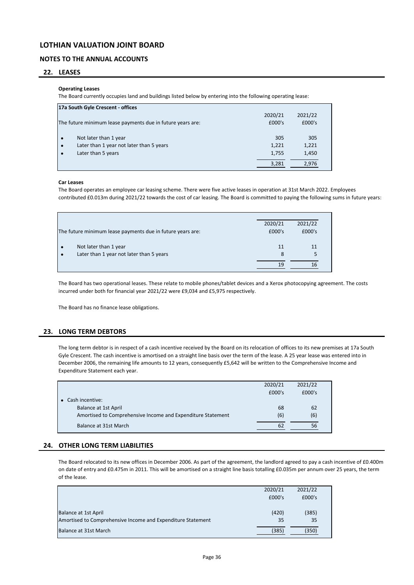### **NOTES TO THE ANNUAL ACCOUNTS**

### **22. LEASES**

#### **Operating Leases**

The Board currently occupies land and buildings listed below by entering into the following operating lease:

|           | 17a South Gyle Crescent - offices                          |         |         |  |  |  |  |  |
|-----------|------------------------------------------------------------|---------|---------|--|--|--|--|--|
|           |                                                            | 2020/21 | 2021/22 |  |  |  |  |  |
|           | The future minimum lease payments due in future years are: | £000's  | £000's  |  |  |  |  |  |
|           | Not later than 1 year                                      | 305     | 305     |  |  |  |  |  |
| $\bullet$ | Later than 1 year not later than 5 years                   | 1,221   | 1,221   |  |  |  |  |  |
|           | Later than 5 years                                         | 1,755   | 1,450   |  |  |  |  |  |
|           |                                                            | 3,281   | 2.976   |  |  |  |  |  |

### **Car Leases**

The Board operates an employee car leasing scheme. There were five active leases in operation at 31st March 2022. Employees contributed £0.013m during 2021/22 towards the cost of car leasing. The Board is committed to paying the following sums in future years:

|           | The future minimum lease payments due in future years are: | 2020/21<br>£000's | 2021/22<br>£000's |  |
|-----------|------------------------------------------------------------|-------------------|-------------------|--|
|           | Not later than 1 year                                      | 11                | 11                |  |
| $\bullet$ | Later than 1 year not later than 5 years                   | 8                 |                   |  |
|           |                                                            | 19                | 16                |  |

The Board has two operational leases. These relate to mobile phones/tablet devices and a Xerox photocopying agreement. The costs incurred under both for financial year 2021/22 were £9,034 and £5,975 respectively.

The Board has no finance lease obligations.

### **23. LONG TERM DEBTORS**

The long term debtor is in respect of a cash incentive received by the Board on its relocation of offices to its new premises at 17a South Gyle Crescent. The cash incentive is amortised on a straight line basis over the term of the lease. A 25 year lease was entered into in December 2006, the remaining life amounts to 12 years, consequently £5,642 will be written to the Comprehensive Income and Expenditure Statement each year.

|                                                             | 2020/21 | 2021/22 |  |
|-------------------------------------------------------------|---------|---------|--|
|                                                             | £000's  | £000's  |  |
| $\bullet$ Cash incentive:                                   |         |         |  |
| <b>Balance at 1st April</b>                                 | 68      | 62      |  |
| Amortised to Comprehensive Income and Expenditure Statement | (6)     | (6)     |  |
| Balance at 31st March                                       | 62      | 56      |  |

### **24. OTHER LONG TERM LIABILITIES**

The Board relocated to its new offices in December 2006. As part of the agreement, the landlord agreed to pay a cash incentive of £0.400m on date of entry and £0.475m in 2011. This will be amortised on a straight line basis totalling £0.035m per annum over 25 years, the term of the lease.

|                                                             | 2020/21 | 2021/22 |  |
|-------------------------------------------------------------|---------|---------|--|
|                                                             | £000's  | £000's  |  |
|                                                             |         |         |  |
| Balance at 1st April                                        | (420)   | (385)   |  |
| Amortised to Comprehensive Income and Expenditure Statement | 35      | 35      |  |
| Balance at 31st March                                       | (385)   | (350)   |  |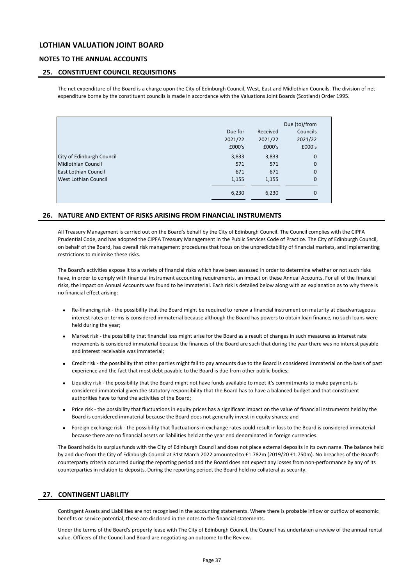### **NOTES TO THE ANNUAL ACCOUNTS**

### **25. CONSTITUENT COUNCIL REQUISITIONS**

The net expenditure of the Board is a charge upon the City of Edinburgh Council, West, East and Midlothian Councils. The division of net expenditure borne by the constituent councils is made in accordance with the Valuations Joint Boards (Scotland) Order 1995.

| Due for | Received | Councils    |               |
|---------|----------|-------------|---------------|
| 2021/22 | 2021/22  | 2021/22     |               |
| £000's  | £000's   | £000's      |               |
| 3,833   | 3,833    | $\mathbf 0$ |               |
| 571     | 571      | $\mathbf 0$ |               |
| 671     | 671      | $\mathbf 0$ |               |
| 1,155   | 1,155    | $\mathbf 0$ |               |
| 6,230   | 6,230    | 0           |               |
|         |          |             | Due (to)/from |

### **26. NATURE AND EXTENT OF RISKS ARISING FROM FINANCIAL INSTRUMENTS**

All Treasury Management is carried out on the Board's behalf by the City of Edinburgh Council. The Council complies with the CIPFA Prudential Code, and has adopted the CIPFA Treasury Management in the Public Services Code of Practice. The City of Edinburgh Council, on behalf of the Board, has overall risk management procedures that focus on the unpredictability of financial markets, and implementing restrictions to minimise these risks.

The Board's activities expose it to a variety of financial risks which have been assessed in order to determine whether or not such risks have, in order to comply with financial instrument accounting requirements, an impact on these Annual Accounts. For all of the financial risks, the impact on Annual Accounts was found to be immaterial. Each risk is detailed below along with an explanation as to why there is no financial effect arising:

- Re-financing risk - the possibility that the Board might be required to renew a financial instrument on maturity at disadvantageous interest rates or terms is considered immaterial because although the Board has powers to obtain loan finance, no such loans were held during the year;
- Market risk the possibility that financial loss might arise for the Board as a result of changes in such measures as interest rate movements is considered immaterial because the finances of the Board are such that during the year there was no interest payable and interest receivable was immaterial;
- Credit risk the possibility that other parties might fail to pay amounts due to the Board is considered immaterial on the basis of past experience and the fact that most debt payable to the Board is due from other public bodies;
- Liquidity risk the possibility that the Board might not have funds available to meet it's commitments to make payments is considered immaterial given the statutory responsibility that the Board has to have a balanced budget and that constituent authorities have to fund the activities of the Board;
- Price risk - the possibility that fluctuations in equity prices has a significant impact on the value of financial instruments held by the Board is considered immaterial because the Board does not generally invest in equity shares; and
- Foreign exchange risk - the possibility that fluctuations in exchange rates could result in loss to the Board is considered immaterial because there are no financial assets or liabilities held at the year end denominated in foreign currencies.

The Board holds its surplus funds with the City of Edinburgh Council and does not place external deposits in its own name. The balance held by and due from the City of Edinburgh Council at 31st March 2022 amounted to £1.782m (2019/20 £1.750m). No breaches of the Board's counterparty criteria occurred during the reporting period and the Board does not expect any losses from non-performance by any of its counterparties in relation to deposits. During the reporting period, the Board held no collateral as security.

### **27. CONTINGENT LIABILITY**

Contingent Assets and Liabilities are not recognised in the accounting statements. Where there is probable inflow or outflow of economic benefits or service potential, these are disclosed in the notes to the financial statements.

Under the terms of the Board's property lease with The City of Edinburgh Council, the Council has undertaken a review of the annual rental value. Officers of the Council and Board are negotiating an outcome to the Review.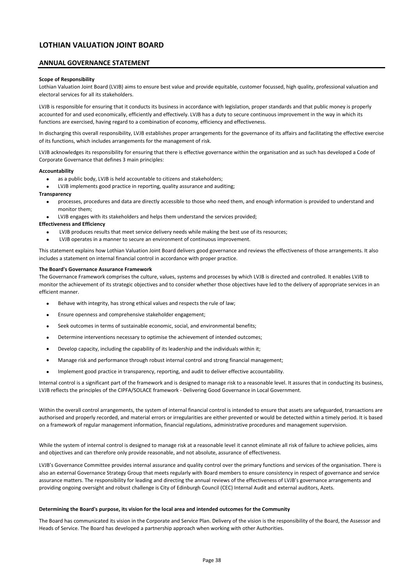### **ANNUAL GOVERNANCE STATEMENT**

#### **Scope of Responsibility**

Lothian Valuation Joint Board (LVJB) aims to ensure best value and provide equitable, customer focussed, high quality, professional valuation and electoral services for all its stakeholders.

LVJB is responsible for ensuring that it conducts its business in accordance with legislation, proper standards and that public money is properly accounted for and used economically, efficiently and effectively. LVJB has a duty to secure continuous improvement in the way in which its functions are exercised, having regard to a combination of economy, efficiency and effectiveness.

In discharging this overall responsibility, LVJB establishes proper arrangements for the governance of its affairs and facilitating the effective exercise of its functions, which includes arrangements for the management of risk.

LVJB acknowledges its responsibility for ensuring that there is effective governance within the organisation and as such has developed a Code of Corporate Governance that defines 3 main principles:

#### **Accountability**

- as a public body, LVJB is held accountable to citizens and stakeholders;
- LVJB implements good practice in reporting, quality assurance and auditing;

#### **Transparency**

- processes, procedures and data are directly accessible to those who need them, and enough information is provided to understand and monitor them;
- LVJB engages with its stakeholders and helps them understand the services provided;

#### **Effectiveness and Efficiency**

- LVJB produces results that meet service delivery needs while making the best use of its resources;
- LVJB operates in a manner to secure an environment of continuous improvement.

This statement explains how Lothian Valuation Joint Board delivers good governance and reviews the effectiveness of those arrangements. It also includes a statement on internal financial control in accordance with proper practice.

#### **The Board's Governance Assurance Framework**

The Governance Framework comprises the culture, values, systems and processes by which LVJB is directed and controlled. It enables LVJB to monitor the achievement of its strategic objectives and to consider whether those objectives have led to the delivery of appropriate services in an efficient manner.

- Behave with integrity, has strong ethical values and respects the rule of law;
- Ensure openness and comprehensive stakeholder engagement;
- Seek outcomes in terms of sustainable economic, social, and environmental benefits;
- Determine interventions necessary to optimise the achievement of intended outcomes;
- Develop capacity, including the capability of its leadership and the individuals within it;
- Manage risk and performance through robust internal control and strong financial management;
- Implement good practice in transparency, reporting, and audit to deliver effective accountability.

Internal control is a significant part of the framework and is designed to manage risk to a reasonable level. It assures that in conducting its business, LVJB reflects the principles of the CIPFA/SOLACE framework - Delivering Good Governance in Local Government.

Within the overall control arrangements, the system of internal financial control is intended to ensure that assets are safeguarded, transactions are authorised and properly recorded, and material errors or irregularities are either prevented or would be detected within a timely period. It is based on a framework of regular management information, financial regulations, administrative procedures and management supervision.

While the system of internal control is designed to manage risk at a reasonable level it cannot eliminate all risk of failure to achieve policies, aims and objectives and can therefore only provide reasonable, and not absolute, assurance of effectiveness.

LVJB's Governance Committee provides internal assurance and quality control over the primary functions and services of the organisation. There is also an external Governance Strategy Group that meets regularly with Board members to ensure consistency in respect of governance and service assurance matters. The responsibility for leading and directing the annual reviews of the effectiveness of LVJB's governance arrangements and providing ongoing oversight and robust challenge is City of Edinburgh Council (CEC) Internal Audit and external auditors, Azets.

#### **Determining the Board's purpose, its vision for the local area and intended outcomes for the Community**

The Board has communicated its vision in the Corporate and Service Plan. Delivery of the vision is the responsibility of the Board, the Assessor and Heads of Service. The Board has developed a partnership approach when working with other Authorities.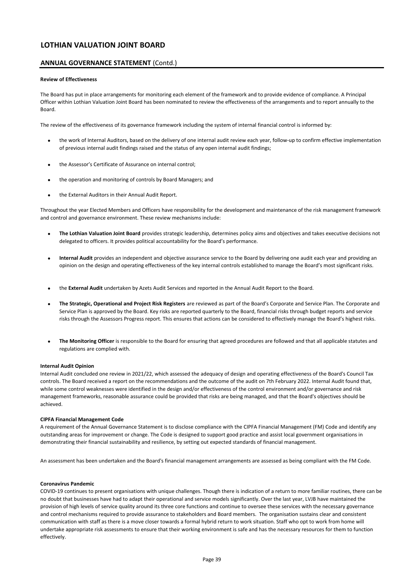### **ANNUAL GOVERNANCE STATEMENT** (Contd.)

#### **Review of Effectiveness**

The Board has put in place arrangements for monitoring each element of the framework and to provide evidence of compliance. A Principal Officer within Lothian Valuation Joint Board has been nominated to review the effectiveness of the arrangements and to report annually to the Board.

The review of the effectiveness of its governance framework including the system of internal financial control is informed by:

- the work of Internal Auditors, based on the delivery of one internal audit review each year, follow-up to confirm effective implementation of previous internal audit findings raised and the status of any open internal audit findings;
- the Assessor's Certificate of Assurance on internal control;
- the operation and monitoring of controls by Board Managers; and
- the External Auditors in their Annual Audit Report.

Throughout the year Elected Members and Officers have responsibility for the development and maintenance of the risk management framework and control and governance environment. These review mechanisms include:

- **The Lothian Valuation Joint Board** provides strategic leadership, determines policy aims and objectives and takes executive decisions not delegated to officers. It provides political accountability for the Board's performance.
- **Internal Audit** provides an independent and objective assurance service to the Board by delivering one audit each year and providing an opinion on the design and operating effectiveness of the key internal controls established to manage the Board's most significant risks.
- the **External Audit** undertaken by Azets Audit Services and reported in the Annual Audit Report to the Board.
- **The Strategic, Operational and Project Risk Registers** are reviewed as part of the Board's Corporate and Service Plan. The Corporate and Service Plan is approved by the Board. Key risks are reported quarterly to the Board, financial risks through budget reports and service risks through the Assessors Progress report. This ensures that actions can be considered to effectively manage the Board's highest risks.
- **The Monitoring Officer** is responsible to the Board for ensuring that agreed procedures are followed and that all applicable statutes and regulations are complied with.

#### **Internal Audit Opinion**

Internal Audit concluded one review in 2021/22, which assessed the adequacy of design and operating effectiveness of the Board's Council Tax controls. The Board received a report on the recommendations and the outcome of the audit on 7th February 2022. Internal Audit found that, while some control weaknesses were identified in the design and/or effectiveness of the control environment and/or governance and risk management frameworks, reasonable assurance could be provided that risks are being managed, and that the Board's objectives should be achieved.

#### **CIPFA Financial Management Code**

A requirement of the Annual Governance Statement is to disclose compliance with the CIPFA Financial Management (FM) Code and identify any outstanding areas for improvement or change. The Code is designed to support good practice and assist local government organisations in demonstrating their financial sustainability and resilience, by setting out expected standards of financial management.

An assessment has been undertaken and the Board's financial management arrangements are assessed as being compliant with the FM Code.

#### **Coronavirus Pandemic**

COVID-19 continues to present organisations with unique challenges. Though there is indication of a return to more familiar routines, there can be no doubt that businesses have had to adapt their operational and service models significantly. Over the last year, LVJB have maintained the provision of high levels of service quality around its three core functions and continue to oversee these services with the necessary governance and control mechanisms required to provide assurance to stakeholders and Board members. The organisation sustains clear and consistent communication with staff as there is a move closer towards a formal hybrid return to work situation. Staff who opt to work from home will undertake appropriate risk assessments to ensure that their working environment is safe and has the necessary resources for them to function effectively.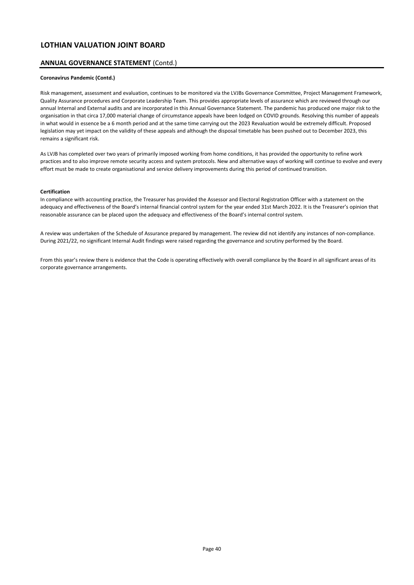### **ANNUAL GOVERNANCE STATEMENT** (Contd.)

### **Coronavirus Pandemic (Contd.)**

Risk management, assessment and evaluation, continues to be monitored via the LVJBs Governance Committee, Project Management Framework, Quality Assurance procedures and Corporate Leadership Team. This provides appropriate levels of assurance which are reviewed through our annual Internal and External audits and are incorporated in this Annual Governance Statement. The pandemic has produced one major risk to the organisation in that circa 17,000 material change of circumstance appeals have been lodged on COVID grounds. Resolving this number of appeals in what would in essence be a 6 month period and at the same time carrying out the 2023 Revaluation would be extremely difficult. Proposed legislation may yet impact on the validity of these appeals and although the disposal timetable has been pushed out to December 2023, this remains a significant risk.

As LVJB has completed over two years of primarily imposed working from home conditions, it has provided the opportunity to refine work practices and to also improve remote security access and system protocols. New and alternative ways of working will continue to evolve and every effort must be made to create organisational and service delivery improvements during this period of continued transition.

#### **Certification**

In compliance with accounting practice, the Treasurer has provided the Assessor and Electoral Registration Officer with a statement on the adequacy and effectiveness of the Board's internal financial control system for the year ended 31st March 2022. It is the Treasurer's opinion that reasonable assurance can be placed upon the adequacy and effectiveness of the Board's internal control system.

A review was undertaken of the Schedule of Assurance prepared by management. The review did not identify any instances of non-compliance. During 2021/22, no significant Internal Audit findings were raised regarding the governance and scrutiny performed by the Board.

From this year's review there is evidence that the Code is operating effectively with overall compliance by the Board in all significant areas of its corporate governance arrangements.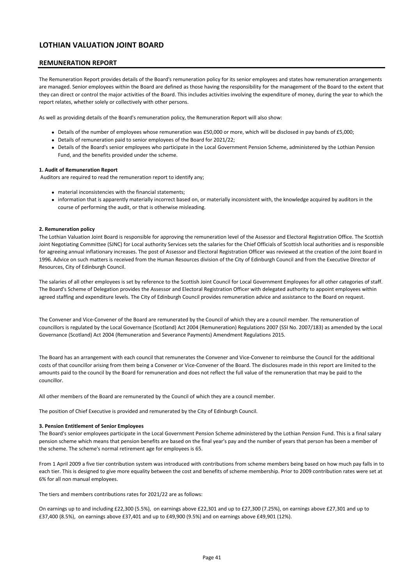### **REMUNERATION REPORT**

The Remuneration Report provides details of the Board's remuneration policy for its senior employees and states how remuneration arrangements are managed. Senior employees within the Board are defined as those having the responsibility for the management of the Board to the extent that they can direct or control the major activities of the Board. This includes activities involving the expenditure of money, during the year to which the report relates, whether solely or collectively with other persons.

As well as providing details of the Board's remuneration policy, the Remuneration Report will also show:

- Details of the number of employees whose remuneration was £50,000 or more, which will be disclosed in pay bands of £5,000;
- Details of remuneration paid to senior employees of the Board for 2021/22;
- Details of the Board's senior employees who participate in the Local Government Pension Scheme, administered by the Lothian Pension Fund, and the benefits provided under the scheme.

### **1. Audit of Remuneration Report**

Auditors are required to read the remuneration report to identify any;

- material inconsistencies with the financial statements;
	- information that is apparently materially incorrect based on, or materially inconsistent with, the knowledge acquired by auditors in the course of performing the audit, or that is otherwise misleading.

### **2. Remuneration policy**

The Lothian Valuation Joint Board is responsible for approving the remuneration level of the Assessor and Electoral Registration Office. The Scottish Joint Negotiating Committee (SJNC) for Local authority Services sets the salaries for the Chief Officials of Scottish local authorities and is responsible for agreeing annual inflationary increases. The post of Assessor and Electoral Registration Officer was reviewed at the creation of the Joint Board in 1996. Advice on such matters is received from the Human Resources division of the City of Edinburgh Council and from the Executive Director of Resources, City of Edinburgh Council.

The salaries of all other employees is set by reference to the Scottish Joint Council for Local Government Employees for all other categories of staff. The Board's Scheme of Delegation provides the Assessor and Electoral Registration Officer with delegated authority to appoint employees within agreed staffing and expenditure levels. The City of Edinburgh Council provides remuneration advice and assistance to the Board on request.

The Convener and Vice-Convener of the Board are remunerated by the Council of which they are a council member. The remuneration of councillors is regulated by the Local Governance (Scotland) Act 2004 (Remuneration) Regulations 2007 (SSI No. 2007/183) as amended by the Local Governance (Scotland) Act 2004 (Remuneration and Severance Payments) Amendment Regulations 2015.

The Board has an arrangement with each council that remunerates the Convener and Vice-Convener to reimburse the Council for the additional costs of that councillor arising from them being a Convener or Vice-Convener of the Board. The disclosures made in this report are limited to the amounts paid to the council by the Board for remuneration and does not reflect the full value of the remuneration that may be paid to the councillor.

All other members of the Board are remunerated by the Council of which they are a council member.

The position of Chief Executive is provided and remunerated by the City of Edinburgh Council.

#### **3. Pension Entitlement of Senior Employees**

The Board's senior employees participate in the Local Government Pension Scheme administered by the Lothian Pension Fund. This is a final salary pension scheme which means that pension benefits are based on the final year's pay and the number of years that person has been a member of the scheme. The scheme's normal retirement age for employees is 65.

From 1 April 2009 a five tier contribution system was introduced with contributions from scheme members being based on how much pay falls in to each tier. This is designed to give more equality between the cost and benefits of scheme membership. Prior to 2009 contribution rates were set at 6% for all non manual employees.

The tiers and members contributions rates for 2021/22 are as follows:

On earnings up to and including £22,300 (5.5%), on earnings above £22,301 and up to £27,300 (7.25%), on earnings above £27,301 and up to £37,400 (8.5%), on earnings above £37,401 and up to £49,900 (9.5%) and on earnings above £49,901 (12%).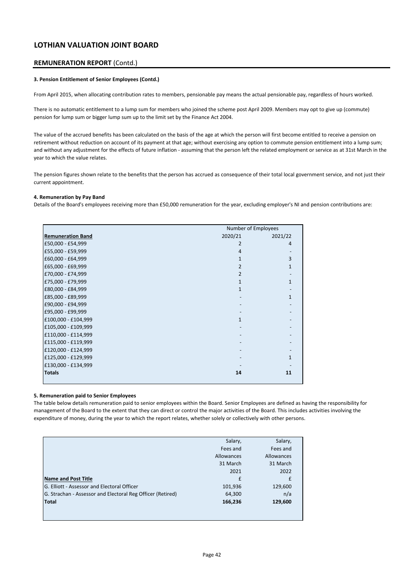### **REMUNERATION REPORT** (Contd.)

#### **3. Pension Entitlement of Senior Employees (Contd.)**

From April 2015, when allocating contribution rates to members, pensionable pay means the actual pensionable pay, regardless of hours worked.

There is no automatic entitlement to a lump sum for members who joined the scheme post April 2009. Members may opt to give up (commute) pension for lump sum or bigger lump sum up to the limit set by the Finance Act 2004.

The value of the accrued benefits has been calculated on the basis of the age at which the person will first become entitled to receive a pension on retirement without reduction on account of its payment at that age; without exercising any option to commute pension entitlement into a lump sum; and without any adjustment for the effects of future inflation - assuming that the person left the related employment or service as at 31st March in the year to which the value relates.

The pension figures shown relate to the benefits that the person has accrued as consequence of their total local government service, and not just their current appointment.

### **4. Remuneration by Pay Band**

Details of the Board's employees receiving more than £50,000 remuneration for the year, excluding employer's NI and pension contributions are:

|                          | Number of Employees |              |
|--------------------------|---------------------|--------------|
| <b>Remuneration Band</b> | 2020/21             | 2021/22      |
| £50,000 - £54,999        | 2                   | 4            |
| £55,000 - £59,999        | $\overline{4}$      |              |
| £60,000 - £64,999        | 1                   | 3            |
| £65,000 - £69,999        | 2                   |              |
| £70,000 - £74,999        | 2                   |              |
| £75,000 - £79,999        | 1                   | $\mathbf{1}$ |
| £80,000 - £84,999        | 1                   |              |
| £85,000 - £89,999        |                     | $\mathbf{1}$ |
| £90,000 - £94,999        |                     |              |
| £95,000 - £99,999        |                     |              |
| £100,000 - £104,999      | 1                   |              |
| £105,000 - £109,999      |                     |              |
| £110,000 - £114,999      |                     |              |
| £115,000 - £119,999      |                     |              |
| £120,000 - £124,999      |                     |              |
| £125,000 - £129,999      |                     | 1            |
| £130,000 - £134,999      |                     |              |
| <b>Totals</b>            | 14                  | 11           |

#### **5. Remuneration paid to Senior Employees**

The table below details remuneration paid to senior employees within the Board. Senior Employees are defined as having the responsibility for management of the Board to the extent that they can direct or control the major activities of the Board. This includes activities involving the expenditure of money, during the year to which the report relates, whether solely or collectively with other persons.

|                                                            | Salary,    | Salary,    |
|------------------------------------------------------------|------------|------------|
|                                                            | Fees and   | Fees and   |
|                                                            | Allowances | Allowances |
|                                                            | 31 March   | 31 March   |
|                                                            | 2021       | 2022       |
| Name and Post Title                                        | £          | £          |
| G. Elliott - Assessor and Electoral Officer                | 101,936    | 129,600    |
| G. Strachan - Assessor and Electoral Reg Officer (Retired) | 64,300     | n/a        |
| <b>Total</b>                                               | 166,236    | 129,600    |
|                                                            |            |            |
|                                                            |            |            |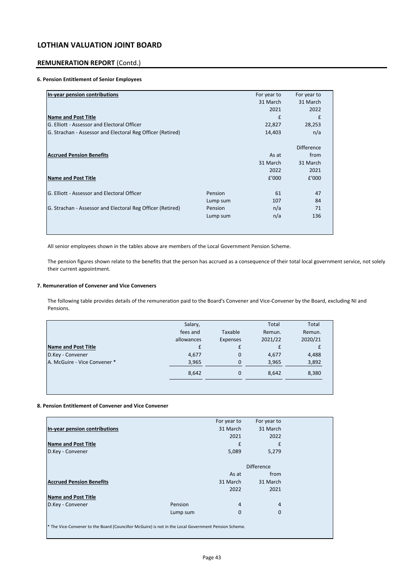### **REMUNERATION REPORT** (Contd.)

### **6. Pension Entitlement of Senior Employees**

| In-year pension contributions                              |          | For year to | For year to       |
|------------------------------------------------------------|----------|-------------|-------------------|
|                                                            |          | 31 March    | 31 March          |
|                                                            |          | 2021        | 2022              |
| <b>Name and Post Title</b>                                 |          | £           | £                 |
| G. Elliott - Assessor and Electoral Officer                |          | 22,827      | 28,253            |
| G. Strachan - Assessor and Electoral Reg Officer (Retired) |          | 14,403      | n/a               |
|                                                            |          |             | <b>Difference</b> |
| <b>Accrued Pension Benefits</b>                            |          | As at       | from              |
|                                                            |          | 31 March    | 31 March          |
|                                                            |          | 2022        | 2021              |
| <b>Name and Post Title</b>                                 |          | £'000       | £'000             |
| G. Elliott - Assessor and Electoral Officer                | Pension  | 61          | 47                |
|                                                            | Lump sum | 107         | 84                |
| G. Strachan - Assessor and Electoral Reg Officer (Retired) | Pension  | n/a         | 71                |
|                                                            | Lump sum | n/a         | 136               |
|                                                            |          |             |                   |
|                                                            |          |             |                   |

All senior employees shown in the tables above are members of the Local Government Pension Scheme.

The pension figures shown relate to the benefits that the person has accrued as a consequence of their total local government service, not solely their current appointment.

### **7. Remuneration of Convener and Vice Conveners**

The following table provides details of the remuneration paid to the Board's Convener and Vice-Convener by the Board, excluding NI and Pensions.

|                              | Salary,    |          | Total   | Total   |
|------------------------------|------------|----------|---------|---------|
|                              | fees and   | Taxable  | Remun.  | Remun.  |
|                              | allowances | Expenses | 2021/22 | 2020/21 |
| <b>Name and Post Title</b>   | £          | £        |         |         |
| D.Key - Convener             | 4,677      | 0        | 4,677   | 4,488   |
| A. McGuire - Vice Convener * | 3,965      | $\Omega$ | 3,965   | 3,892   |
|                              | 8,642      | 0        | 8,642   | 8,380   |
|                              |            |          |         |         |
|                              |            |          |         |         |

### **8. Pension Entitlement of Convener and Vice Convener**

|                                                                                                      | For year to   | For year to       |  |
|------------------------------------------------------------------------------------------------------|---------------|-------------------|--|
| In-year pension contributions                                                                        | 31 March      | 31 March          |  |
|                                                                                                      | 2021          | 2022              |  |
| <b>Name and Post Title</b>                                                                           | £             | £                 |  |
| D.Key - Convener                                                                                     | 5,089         | 5,279             |  |
|                                                                                                      |               |                   |  |
|                                                                                                      |               | <b>Difference</b> |  |
|                                                                                                      | As at         | from              |  |
| <b>Accrued Pension Benefits</b>                                                                      | 31 March      | 31 March          |  |
|                                                                                                      | 2022          | 2021              |  |
| <b>Name and Post Title</b>                                                                           |               |                   |  |
| D.Key - Convener                                                                                     | 4<br>Pension  | 4                 |  |
|                                                                                                      | 0<br>Lump sum | $\mathbf{0}$      |  |
|                                                                                                      |               |                   |  |
| * The Vice-Convener to the Board (Councillor McGuire) is not in the Local Government Pension Scheme. |               |                   |  |
|                                                                                                      |               |                   |  |